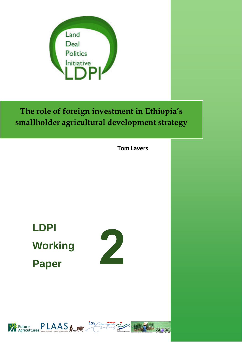

**The role of foreign investment in Ethiopia's smallholder agricultural development strategy**

**Tom Lavers**

**LDPI Working Paper** 





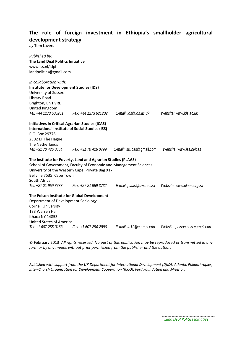## **The role of foreign investment in Ethiopia's smallholder agricultural development strategy**

*by* Tom Lavers

| Published by:<br><b>The Land Deal Politics Initiative</b> |                                                                   |                                                                      |                                  |
|-----------------------------------------------------------|-------------------------------------------------------------------|----------------------------------------------------------------------|----------------------------------|
|                                                           |                                                                   |                                                                      |                                  |
| www.iss.nl/ldpi                                           |                                                                   |                                                                      |                                  |
| landpolitics@gmail.com                                    |                                                                   |                                                                      |                                  |
| in collaboration with:                                    |                                                                   |                                                                      |                                  |
| <b>Institute for Development Studies (IDS)</b>            |                                                                   |                                                                      |                                  |
| University of Sussex                                      |                                                                   |                                                                      |                                  |
| Library Road                                              |                                                                   |                                                                      |                                  |
| Brighton, BN1 9RE                                         |                                                                   |                                                                      |                                  |
| United Kingdom                                            |                                                                   |                                                                      |                                  |
| Tel: +44 1273 606261                                      |                                                                   | Fax: +44 1273 621202    E-mail: ids@ids.ac.uk                        | Website: www.ids.ac.uk           |
| <b>Initiatives in Critical Agrarian Studies (ICAS)</b>    |                                                                   |                                                                      |                                  |
|                                                           | <b>International Institute of Social Studies (ISS)</b>            |                                                                      |                                  |
| P.O. Box 29776                                            |                                                                   |                                                                      |                                  |
| 2502 LT The Hague                                         |                                                                   |                                                                      |                                  |
| The Netherlands                                           |                                                                   |                                                                      |                                  |
|                                                           |                                                                   | Tel: +31 70 426 0664 Fax: +31 70 426 0799 E-mail: iss.icas@gmail.com | Website: www.iss.nl/icas         |
|                                                           | The Institute for Poverty, Land and Agrarian Studies (PLAAS)      |                                                                      |                                  |
|                                                           | School of Government, Faculty of Economic and Management Sciences |                                                                      |                                  |
|                                                           | University of the Western Cape, Private Bag X17                   |                                                                      |                                  |
| Bellville 7535, Cape Town                                 |                                                                   |                                                                      |                                  |
| South Africa                                              |                                                                   |                                                                      |                                  |
|                                                           | Tel: +27 21 959 3733 Fax: +27 21 959 3732                         | E-mail: plaas@uwc.ac.za                                              | Website: www.plaas.org.za        |
|                                                           | The Polson Institute for Global Development                       |                                                                      |                                  |
| Department of Development Sociology                       |                                                                   |                                                                      |                                  |
| <b>Cornell University</b>                                 |                                                                   |                                                                      |                                  |
| 133 Warren Hall                                           |                                                                   |                                                                      |                                  |
| Ithaca NY 14853                                           |                                                                   |                                                                      |                                  |
| <b>United States of America</b>                           |                                                                   |                                                                      |                                  |
| Tel: +1 607 255-3163                                      | Fax: +1 607 254-2896                                              | E-mail: ta12@cornell.edu                                             | Website: polson.cals.cornell.edu |

© February 2013 *All rights reserved. No part of this publication may be reproduced or transmitted in any form or by any means without prior permission from the publisher and the author.*

*Published with support from the UK Department for International Development (DfID), Atlantic Philanthropies, Inter‐Church Organization for Development Cooperation (ICCO), Ford Foundation and Miserior.*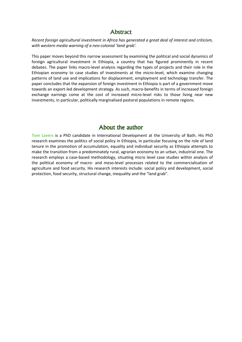### **Abstract**

Recent foreign agricultural investment in Africa has generated a great deal of interest and criticism, with western media warning of a neo-colonial 'land grab'.

This paper moves beyond this narrow assessment by examining the political and social dynamics of foreign agricultural investment in Ethiopia, a country that has figured prominently in recent debates. The paper links macro-level analysis regarding the types of projects and their role in the Ethiopian economy to case studies of investments at the micro-level, which examine changing patterns of land use and implications for displacement, employment and technology transfer. The paper concludes that the expansion of foreign investment in Ethiopia is part of a government move towards an export-led development strategy. As such, macro-benefits in terms of increased foreign exchange earnings come at the cost of increased micro-level risks to those living near new investments, in particular, politically marginalised pastoral populations in remote regions.

## About the author

Tom Lavers is a PhD candidate in International Development at the University of Bath. His PhD research examines the politics of social policy in Ethiopia, in particular focusing on the role of land tenure in the promotion of accumulation, equality and individual security as Ethiopia attempts to make the transition from a predominately rural, agrarian economy to an urban, industrial one. The research employs a case-based methodology, situating micro level case studies within analysis of the political economy of macro- and meso-level processes related to the commercialisation of agriculture and food security. His research interests include: social policy and development, social protection, food security, structural change, inequality and the "land grab".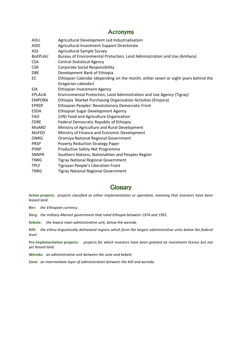#### **Acronyms**

| <b>ADLI</b>    | Agricultural Development Led Industrialisation                                     |
|----------------|------------------------------------------------------------------------------------|
| <b>AISD</b>    | Agricultural Investment Support Directorate                                        |
| ASS.           | <b>Agricultural Sample Survey</b>                                                  |
| <b>BOEPLAU</b> | Bureau of Environmental Protection, Land Administration and Use (Amhara)           |
| <b>CSA</b>     | <b>Central Statistical Agency</b>                                                  |
| <b>CSR</b>     | <b>Corporate Social Responsibility</b>                                             |
| <b>DBE</b>     | Development Bank of Ethiopia                                                       |
| EC             | Ethiopian Calendar (depending on the month, either seven or eight years behind the |
|                | Gregorian calendar)                                                                |
| EIA            | <b>Ethiopian Investment Agency</b>                                                 |
| EPLAUA         | Environmental Protection, Land Administration and Use Agency (Tigray)              |
| <b>EMPORA</b>  | Ethiopia Market Purchasing Organisation Activities (Empora)                        |
| <b>EPRDF</b>   | Ethiopian Peoples' Revolutionary Democratic Front                                  |
| <b>ESDA</b>    | Ethiopian Sugar Development Agency                                                 |
| <b>FAO</b>     | (UN) Food and Agriculture Organization                                             |
| <b>FDRE</b>    | Federal Democratic Republic of Ethiopia                                            |
| MoARD          | Ministry of Agriculture and Rural Development                                      |
| MoFED          | Ministry of Finance and Economic Development                                       |
| <b>ONRG</b>    | Oromiya National Regional Government                                               |
| <b>PRSP</b>    | Poverty Reduction Strategy Paper                                                   |
| <b>PSNP</b>    | Productive Safety Net Programme                                                    |
| <b>SNNPR</b>   | Southern Nations, Nationalities and Peoples Region                                 |
| <b>TNRG</b>    | <b>Tigray National Regional Government</b>                                         |
| <b>TPLF</b>    | Tigrayan People's Liberation Front                                                 |
| <b>TNRG</b>    | <b>Tigray National Regional Government</b>                                         |

### **Glossary**

Active projects: projects classified as either implementation or operation, meaning that investors have been leased land.

Birr: the Ethiopian currency.

Derg: the military-Marxist government that ruled Ethiopia between 1974 and 1991.

Kebele: the lowest main administrative unit, below the wereda.

Kilil: the ethno-linguistically delineated regions which form the largest administrative units below the federal level.

Pre-implementation projects: projects for which investors have been granted an investment licence but not yet leased land.

Wereda: an administrative unit between the zone and kebele.

Zone: an intermediate layer of administration between the kilil and wereda.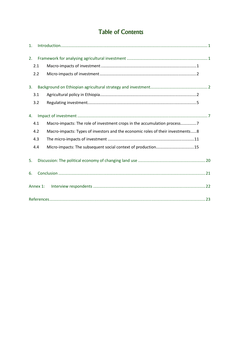# Table of Contents

| $\mathbf{1}$ . |          |                                                                                |
|----------------|----------|--------------------------------------------------------------------------------|
| 2.             |          |                                                                                |
| 2.1            |          |                                                                                |
| 2.2            |          |                                                                                |
| 3.             |          |                                                                                |
| 3.1            |          |                                                                                |
| 3.2            |          |                                                                                |
| 4.             |          |                                                                                |
| 4.1            |          | Macro-impacts: The role of investment crops in the accumulation process7       |
| 4.2            |          | Macro-impacts: Types of investors and the economic roles of their investments8 |
| 4.3            |          |                                                                                |
| 4.4            |          | Micro-impacts: The subsequent social context of production15                   |
| 5.             |          |                                                                                |
| 6.             |          |                                                                                |
|                | Annex 1: |                                                                                |
|                |          |                                                                                |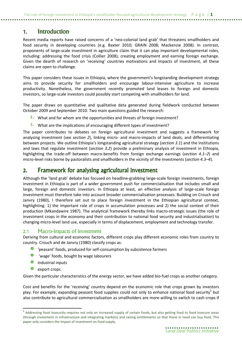## 1. Introduction

Recent media reports have raised concerns of a 'neo-colonial land grab' that threatens smallholders and food security in developing countries (e.g. Baxter 2010; GRAIN 2008; Mackenzie 2008). In contrast, proponents of large-scale investment in agriculture claim that it can play important developmental roles, including: addressing the food crisis (Collier 2008), creating employment and earning foreign exchange. Given the dearth of research on 'receiving' countries motivations and impacts of investment, all these claims are open to challenge.

This paper considers these issues in Ethiopia, where the government's longstanding development strategy aims to provide security for smallholders and encourage labour-intensive agriculture to increase productivity. Nonetheless, the government recently promoted land leases to foreign and domestic investors, so large-scale investors could possibly start competing with smallholders for land.

The paper draws on quantitative and qualitative data generated during fieldwork conducted between October 2009 and September 2010. Two main questions guided the research:

- $I.$  What and for whom are the opportunities and threats of foreign investment?
- $2.$  What are the implications of encouraging different types of investment?

The paper contributes to debates on foreign agricultural investment and suggests a framework for analysing investment (see section 2), linking micro- and macro-impacts of land deals, and differentiating between projects. We outline Ethiopia's longstanding agricultural strategy (section 3.1) and the institutions and laws that regulate investment (section 3.2) provide a preliminary analysis of investment in Ethiopia, highlighting the trade-off between macro-benefits from foreign exchange earnings (section 4.1–2) and micro-level risks borne by pastoralists and smallholders in the vicinity of the investments (section 4.3–4).

### 2. Framework for analysing agricultural investment

Although the 'land grab' debate has focused on headline-grabbing large-scale foreign investments, foreign investment in Ethiopia is part of a wider government push for commercialisation that includes small and large, foreign and domestic investors. In Ethiopia at least, an effective analysis of large-scale foreign investment must therefore take into account broader commercialisation processes. Building on Crouch and Janvry (1980), I therefore set out to place foreign investment in the Ethiopian agricultural context, highlighting: 1) the important role of crops in accumulation processes and 2) the social context of their production (Mkandawire 1987). The analytical framework thereby links macro-strategic issues (the role of investment crops in the economy and their contribution to national food security and industrialisation) to changing micro-level land use, especially in terms of displacement, employment and technology transfer.

### 2.1 Macro-impacts of investment

Deriving from cultural and economic factors, different crops play different economic roles from country to country. Crouch and de Janvry (1980) classify crops as:

- 'peasant' foods, produced for self-consumption by subsistence farmers
- 'wage' foods, bought by wage labourers
- **O** industrial inputs
- **export crops.**

 $\overline{a}$ 

Given the particular characteristics of the energy sector, we have added bio-fuel crops as another category.

Cost and benefits for the 'receiving' country depend on the economic role that crops grown by investors play. For example, expanding peasant food supplies could not only to enhance national food security<sup>1</sup> but also contribute to agricultural commercialisation as smallholders are more willing to switch to cash crops if

<sup>&</sup>lt;sup>1</sup> Addressing food insecurity requires not only an increased supply of certain foods, but also getting food to food insecure areas (through investment in infrastructure and integrating markets) and raising entitlements so that those in need can buy food. This paper only considers the impact of investment on food supply.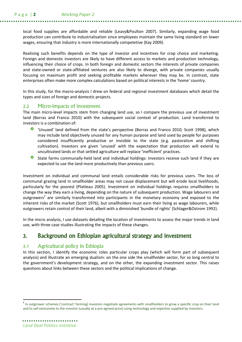local food supplies are affordable and reliable (Leavy&Poulton 2007). Similarly, expanding wage food production can contribute to industrialisation since employees maintain the same living standard on lower wages, ensuring that industry is more internationally competetive (Kay 2009).

Realising such benefits depends on the type of investor and incentives for crop choice and marketing. Foreign and domestic investors are likely to have different access to markets and production technology, influencing their choice of crops. In both foreign and domestic sectors the interests of private companies and state-owned or state-affiliated ventures are also likely to diverge, with private companies usually focusing on maximum profit and seeking profitable markets wherever they may be. In contrast, state enterprises often make more complex calculations based on political interests in the 'home' country.

In this study, for the macro-analysis I drew on federal and regional investment databases which detail the types and sizes of foreign and domestic projects.

#### 2.2 Micro-impacts of investment

The main micro-level impacts stem from changing land use, so I compare the previous use of investment land (Borras and Franco 2010) with the subsequent social context of production. Land transferred to investors is a combination of:

- 'Unused' land defined from the state's perspective (Borras and Franco 2010; Scott 1998), which may include land objectively unused for any human purpose and land used by people for purposes considered insufficiently productive or invisible to the state (e.g. pastoralism and shifting cultivation). Investors are given 'unused' with the expectation that production will extend to uncultivated lands or that settled agriculture will replace 'inefficient' practices.
- State farms communally-held land and individual holdings: investors receive such land if they are expected to use the land more productively than previous users.

Investment on individual and communal land entails considerable risks for previous users. The loss of communal grazing land in smallholder areas may not cause displacement but will erode local livelihoods, particularly for the poorest (Platteau 2005). Investment on individual holdings requires smallholders to change the way they earn a living, depending on the nature of subsequent production. Wage labourers and outgrowers<sup>2</sup> are similarly transformed into participants in the monetary economy and exposed to the inherent risks of the market (Scott 1976), but smallholders must earn their living as wage labourers, while outgrowers retain control of their land, albeit with a diminished 'bundle of rights' (Schlager&Ostrom 1992).

In the micro analysis, I use datasets detailing the location of investments to assess the major trends in land use, with three case studies illustrating the impacts of these changes.

## 3. Background on Ethiopian agricultural strategy and investment

#### 3.1 Agricultural policy in Ethiopia

In this section, I identify the economic roles particular crops play (which will form part of subsequent analysis) and illustrate an emerging dualism: on the one side the smallholder sector, for so long central to the government's development strategy, and on the other, the expanding investment sector. This raises questions about links between these sectors and the political implications of change.

 $\overline{\phantom{0}}$ 

<sup>&</sup>lt;sup>2</sup> In outgrower schemes ('contract' farming) investors negotiate agreements with smallholders to grow a specific crop on their land and to sell exclusively to the investor (usually at a pre-agreed price) using technology and expertise supplied by investors.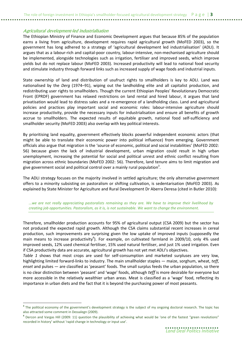#### Agricultural development-led industrialisation

 $\overline{\phantom{0}}$ 

The Ethiopian Ministry of Finance and Economic Development argues that because 85% of the population earns a living from agriculture, development requires rapid agricultural growth (MoFED 2003), so the government has long adhered to a strategy of 'agricultural development led industrialisation' (ADLI). It argues that as a labour-rich and capital-poor country, labour-intensive, non-mechanised agriculture should be implemented, alongside technologies such as irrigation, fertiliser and improved seeds, which improve yields but do not replace labour (MoFED 2003). Increased productivity will lead to national food security and stimulate industry through forward links such as increased supply of wage foods and industrial inputs.

State ownership of land and distribution of usufruct rights to smallholders is key to ADLI. Land was nationalised by the Derg (1974–91), wiping out the landholding elite and all capitalist production, and redistributing user rights to smallholders. Though the current Ethiopian Peoples' Revolutionary Democratic Front (EPRDF) government has relaxed restrictions on land rental and hired labour, it argues that land privatisation would lead to distress sales and a re-emergence of a landholding class. Land and agricultural policies and practices play important social and economic roles: labour-intensive agriculture should increase productivity, provide the necessary inputs for industrialisation and ensure all benefits of growth accrue to smallholders. The expected results of equitable growth, national food self-sufficiency and smallholder security (MoFED 2003) also overlap with key political interests.

By prioritising land equality, government effectively blocks powerful independent economic actors (that might be able to translate their economic power into political influence) from emerging. Government officials also argue that migration is the 'source of economic, political and social instabilities' (MoFED 2002: 56) because given the lack of industrial development, urban migration could result in high urban unemployment, increasing the potential for social and political unrest and ethnic conflict resulting from migration across ethnic boundaries (MoFED 2002: 56). Therefore, land tenure aims to limit migration and give government social and political control over a mainly rural population<sup>3</sup>.

The ADLI strategy focuses on the majority involved in settled agriculture; the only alternative government offers to a minority subsisting on pastoralism or shifting cultivation, is sedentarisation (MoFED 2003). As explained by State Minister for Agriculture and Rural Development Dr Aberra Deresa (cited in Butler 2010):

...we are not really appreciating pastoralists remaining as they are. We have to improve their livelihood by creating job opportunities. Pastoralism, as it is, is not sustainable. We want to change the environment.

Therefore, smallholder production accounts for 95% of agricultural output (CSA 2009) but the sector has not produced the expected rapid growth. Although the CSA claims substantial recent increases in cereal production, such improvements are surprising given the low uptake of improved inputs (supposedly the main means to increase productivity<sup>4</sup>). For example, on cultivated farmland in 2009/10, only 4% used improved seeds, 12% used chemical fertiliser, 15% used natural fertiliser, and just 1% used irrigation. Even if CSA productivity data are accurate, agricultural growth has not yet met ADLI's objectives.

Table 1 shows that most crops are used for self-consumption and marketed surpluses are very low, highlighting limited forward-links to industry. The main smallholder staples — maize, sorghum, wheat, teff, enset and pulses — are classified as 'peasant' foods. The small surplus feeds the urban population, so there is no clear distinction between 'peasant' and 'wage' foods, although teff is more desirable for everyone but more accessible in the relatively wealthier urban areas. Meat is classified as a 'wage' food, reflecting its importance in urban diets and the fact that it is beyond the purchasing power of most peasants.

<sup>&</sup>lt;sup>3</sup> The political economy of the government's development strategy is the subject of my ongoing doctoral research. The topic has also attracted some comment in Dessalegn (2009).

<sup>&</sup>lt;sup>4</sup> Dercon and Vargas Hill (2009: 11) question the plausibility of achieving what would be 'one of the fastest "green revolutions" recorded in history' without 'rapid change in technology or input use'.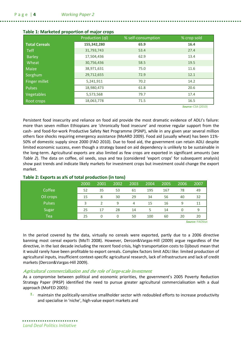|                      | Production (ql) | % self-consumption | % crop sold |
|----------------------|-----------------|--------------------|-------------|
| <b>Total Cereals</b> | 155,342,280     | 65.9               | 16.4        |
| <b>Teff</b>          | 31,793,743      | 53.4               | 27.4        |
| <b>Barley</b>        | 17,504,436      | 62.9               | 13.4        |
| Wheat                | 30,756,436      | 58.5               | 19.5        |
| Maize                | 38,971,631      | 75.0               | 11.6        |
| Sorghum              | 29,712,655      | 72.9               | 12.1        |
| Finger millet        | 5,241,911       | 70.2               | 14.2        |
| <b>Pulses</b>        | 18,980,473      | 61.8               | 20.6        |
| Vegetables           | 5,573,568       | 79.7               | 17.4        |
| Root crops           | 18,063,778      | 71.5               | 16.5        |

#### Table 1: Marketed proportion of major crops

Source: CSA (2010)

Persistent food insecurity and reliance on food aid provide the most dramatic evidence of ADLI's failure: more than seven million Ethiopians are 'chronically food insecure' and receive regular support from the cash- and food-for-work Productive Safety Net Programme (PSNP), while in any given year several million others face shocks requiring emergency assistance (MoARD 2009). Food aid (usually wheat) has been 11%- 50% of domestic supply since 2000 (FAO 2010). Due to food aid, the government can retain ADLI despite limited economic success, even though a strategy based on aid dependency is unlikely to be sustainable in the long-term. Agricultural exports are also limited as few crops are exported in significant amounts (see Table 2). The data on coffee, oil seeds, soya and tea (considered 'export crops' for subsequent analysis) show past trends and indicate likely markets for investment crops but investment could change the export market.

|               | 2000 | 2001 | 2002 | 2003 | 2004 | 2005 | 2006 | 2007                               |
|---------------|------|------|------|------|------|------|------|------------------------------------|
| Coffee        | 52   | 35   | 53   | 61   | 195  | 167  | 78   | 49                                 |
| Oil crops     | 15   | 8    | 30   | 29   | 34   | 56   | 40   | 32                                 |
| <b>Pulses</b> | ς    |      | 9    | 4    | 15   | 16   | 9    | 11                                 |
| Sugar         | 25   | 17   | 28   | 14   |      | 14   | 0    | 9                                  |
| <b>Tea</b>    | 25   | 0    | 0    | 50   | 100  | 60   | 20   | 20                                 |
|               |      |      |      |      |      |      |      | $\sim$ $\sim$ $\sim$ $\sim$ $\sim$ |

#### Table 2: Exports as a% of total production (in tons)

Source: FAOStat

In the period covered by the data, virtually no cereals were exported, partly due to a 2006 directive banning most cereal exports (MoTI 2008). However, Dercon&Vargas-Hill (2009) argue regardless of the directive, in the last decade including the recent food crisis, high transportation costs to Djibouti mean that it would rarely have been profitable to export cereals. Complex factors limit ADLI like: limited production of agricultural inputs, insufficient context-specific agricultural research, lack of infrastructure and lack of credit markets (Dercon&Vargas-Hill 2009).

#### Agricultural commercialisation and the role of large-scale investment

As a compromise between political and economic priorities, the government's 2005 Poverty Reduction Strategy Paper (PRSP) identified the need to pursue greater agricultural commercialisation with a dual approach (MoFED 2005):

1. maintain the politically-sensitive smallholder sector with redoubled efforts to increase productivity and specialise in 'niche', high-value export markets and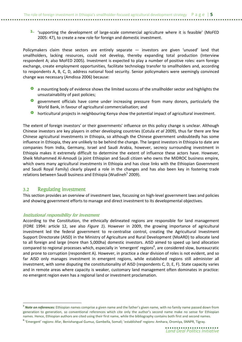$2.$  'supporting the development of large-scale commercial agriculture where it is feasible' (MoFED 2005: 47), to create a new role for foreign and domestic investment.

Policymakers claim these sectors are entirely separate — investors are given 'unused' land that smallholders, lacking resources, could not develop, thereby expanding total production (Interview respondent A; also MoFED 2005). Investment is expected to play a number of positive roles: earn foreign exchange, create employment opportunities, facilitate technology transfer to smallholders and, according to respondents A, B, C, D, address national food security. Senior policymakers were seemingly convinced change was necessary (Amdissa 2006) because:

- a mounting body of evidence shows the limited success of the smallholder sector and highlights the unsustainability of past policies;
- **O** government officials have come under increasing pressure from many donors, particularly the World Bank, in favour of agricultural commercialisation; and
- **O** horticultural projects in neighbouring Kenya show the potential impact of agricultural investment.

The extent of foreign investors' or their governments' influence on this policy change is unclear. Although Chinese investors are key players in other developing countries (Cotula et al 2009), thus far there are few Chinese agricultural investments in Ethiopia, so although the Chinese government undoubtedly has some influence in Ethiopia, they are unlikely to be behind the change. The largest investors in Ethiopia to date are companies from India, Germany, Israel and Saudi Arabia, however, secrecy surrounding investment in Ethiopia makes it extremely difficult to determine the extent of influence these actors have. However, Sheik Mohammed Al-Amoudi (a joint Ethiopian and Saudi citizen who owns the MIDROC business empire, which owns many agricultural investments in Ethiopia and has close links with the Ethiopian Government and Saudi Royal Family) clearly played a role in the changes and has also been key in fostering trade relations between Saudi business and Ethiopia (Wudineh<sup>5</sup> 2009).

#### 3.2 Regulating investment

 $\overline{\phantom{0}}$ 

This section provides an overview of investment laws, focussing on high-level government laws and policies and showing government efforts to manage and direct investment to its developmental objectives.

#### Institutional responsibility for investment

According to the Constitution, the ethnically delineated regions are responsible for land management (FDRE 1994: article 12, see also Figure 1). However in 2009, the growing importance of agricultural investment led the federal government to re-centralise control, creating the Agricultural Investment Support Directorate (AISD) in the Ministry of Agriculture and Rural Development (MoARD) to allocate land to all foreign and large (more than 5,000ha) domestic investors. AISD aimed to speed up land allocation compared to regional processes which, especially in 'emergent' regions<sup>6</sup>, are considered slow, bureaucratic and prone to corruption (respondent A). However, in practice a clear division of roles is not evident, and so far AISD only manages investment in emergent regions, while established regions still administer all investment, with some disputing the constitutionality of AISD (respondents C, D, E, F). State capacity varies and in remote areas where capacity is weaker, customary land management often dominates in practice: no emergent region even has a regional land or investment proclamation.

<sup>&</sup>lt;sup>5</sup> Note on references: Ethiopian names comprise a given name and the father's given name, with no family name passed down from generation to generation, so conventional references which cite only the author's second name make no sense for Ethiopian names. Hence, Ethiopian authors are cited using their first name, while the bibliography contains both first and second names.

<sup>6</sup> 'Emergent' regions: Afar, Benishangual Gumuz, Gambella, Somali; 'established' regions: Amhara, Oromiya, SNNPR, Tigray.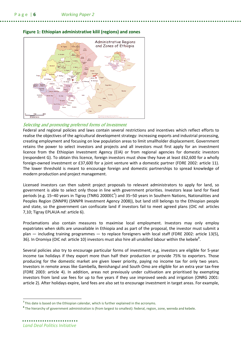

#### Figure 1: Ethiopian administrative kilil (regions) and zones

#### Selecting and promoting preferred forms of investment

Federal and regional policies and laws contain several restrictions and incentives which reflect efforts to realise the objectives of the agricultural development strategy: increasing exports and industrial processing, creating employment and focusing on low population areas to limit smallholder displacement. Government retains the power to select investors and projects and all investors must first apply for an investment licence from the Ethiopian Investment Agency (EIA) or from regional agencies for domestic investors (respondent G). To obtain this licence, foreign investors must show they have at least £62,600 for a wholly foreign-owned investment or £37,600 for a joint venture with a domestic partner (FDRE 2002: article 11). The lower threshold is meant to encourage foreign and domestic partnerships to spread knowledge of modern production and project management.

Licensed investors can then submit project proposals to relevant administrators to apply for land, so government is able to select only those in line with government priorities. Investors lease land for fixed periods (e.g. 15–40 years in Tigray (TNRG 2000EC<sup>7</sup>) and 35–50 years in Southern Nations, Nationalities and Peoples Region (SNNPR) (SNNPR Investment Agency 2008)), but land still belongs to the Ethiopian people and state, so the government can confiscate land if investors fail to meet agreed plans (OIC nd: articles 7.10: Tigray EPLAUA nd: article 6).

Proclamations also contain measures to maximise local employment. Investors may only employ expatriates when skills are unavailable in Ethiopia and as part of the proposal, the investor must submit a plan — including training programmes — to replace foreigners with local staff (FDRE 2002: article 13(5), 36). In Oromiya (OIC nd: article 10) investors must also hire all unskilled labour within the kebele<sup>8</sup>.

Several policies also try to encourage particular forms of investment; e,g, investors are eligible for 5-year income tax holidays if they export more than half their production or provide 75% to exporters. Those producing for the domestic market are given lower priority, paying no income tax for only two years. Investors in remote areas like Gambella, Benishangul and South Omo are eligible for an extra year tax-free (FDRE 2003: article 4). In addition, areas not previously under cultivation are prioritised by exempting investors from land use fees for up to five years if they use improved seeds and irrigation (ONRG 2001: article 2). After holidays expire, land fees are also set to encourage investment in target areas. For example,

 $\overline{a}$ 

 $7$ This date is based on the Ethiopian calendar, which is further explained in the acronyms.

<sup>&</sup>lt;sup>8</sup> The hierarchy of government administration is (from largest to smallest): federal, region, zone, wereda and kebele.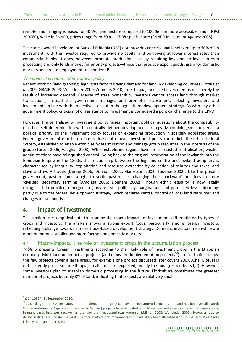remote land in Tigray is leased for 40 Birr $^9$  per hectare compared to 100 Birr for more accessible land (TNRG 2000EC), while in SNNPR, prices range from 30 to 117 Birr per hectare (SNNPR Investment Agency 2008).

The state-owned Development Bank of Ethiopia (DBE) also provides concessional lending of up to 70% of an investment, with the investor required to provide no capital and borrowing at lower interest rates than commercial banks. It does, however, promote production links by requiring investors to invest in crop processing and only lends money for priority projects—those that produce export goods, grain for domestic markets and create employment (respondent B).

#### The political economy of investment policy

Recent work on 'land grabbing' highlights factors driving demand for land in developing countries (Cotula et al 2009; GRAIN 2008; Weissleder 2009; Zoomers 2010). In Ethiopia, increased investment is not merely the result of increased demand. Because of state ownership, investors cannot access land through market transactions; instead the government manages and promotes investment, selecting investors and investments in line with the objectives set out in the agricultural development strategy. As with any other government policy, criticism of or resistance to investment is considered a political challenge to the EPRDF.

However, the centralised of investment policy raises important political questions about the compatibility of ethnic self-determination with a centrally-defined development strategy. Maintaining smallholders is a political priority, so the investment policy focuses on expanding production in sparsely populated areas. Federal government efforts to re-centralise control over investment policy contradicts the ethnic federal system, established to enable ethnic self-determination and manage group resources in the interests of the group (Turton 2006; Vaughan 2003). While established regions have so far resisted centralisation, weaker administrations have relinquished control. Going back to the original incorporation of the lowlands into the Ethiopian Empire in the 1800s, the relationship between the highland centre and lowland periphery is characterised by inequality, exploitation and resource extraction by collection of tributes and taxes, and slave and ivory trades (Dereje 2006; Donham 2002; Garretson 2002; Tadesse 2002). Like the present government, past regimes sought to settle pastoralists, changing their 'backward' practices to more 'civilised' sedentary farming (Amdissa 2006; Donham 2002). Though ethnic equality is now legally recognised, in practice, emergent regions are still politically marginalised and permitted less autonomy, partly due to the federal development strategy, which requires central control of local land resources and changes in livelihoods.

### 4. Impact of investment

This section uses empirical data to examine the macro-impacts of investment, differentiated by types of crops and investors. The analysis shows a strong export focus, particularly among foreign investors, reflecting a change towards a more trade-based development strategy. Domestic investors meanwhile are more numerous, smaller and more focused on domestic markets.

#### 4.1 Macro-impacts: The role of investment crops in the accumulation process

Table 3 presents foreign investments according to the likely role of investment crops in the Ethiopian economy. Most land under active projects (and many pre-implementation projects<sup>10</sup>) are for biofuel crops; the few projects cover a large areas, for example one project discussed later covers 200,000ha. Biofuel is not currently processed in Ethiopia, so all crops are exported, mostly to China (respondents I, J). However, some investors plan to establish domestic processing in the future. Floriculture constitutes the greatest number of projects but only 3% of land, indicating that projects are relatively small.

l

 $9$  £ 1= $\pm$ 26 Birr in September 2010.

<sup>&</sup>lt;sup>10</sup> According to the EIA, investors in 'pre-implementation' projects have an investment licence but no land has been yet allocated; 'implementation' or 'operation' (here called 'active') projects have allocated land. Many licensed investors never start operations; in many cases investors receive far less land than requested (e.g. Anderson&Million 2008; Weissleder 2009). However, due to delays in database updates, several investors marked 'pre-implementation' have likely been allocated land, so the 'active' category is likely to be an underestimate.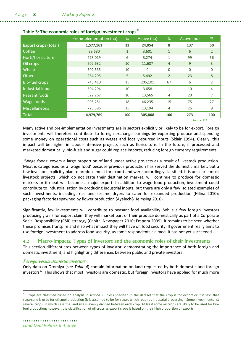|                             | Pre-implementation (ha) | %            | Active (ha) | %              | Active (no)  | %              |
|-----------------------------|-------------------------|--------------|-------------|----------------|--------------|----------------|
| <b>Export crops (total)</b> | 1,577,161               | 32           | 24,054      | 8              | 137          | 50             |
| Coffee                      | 29,680                  | $\mathbf{1}$ | 3,601       | $\mathbf{1}$   | 6            | $\overline{2}$ |
| Horti/floriculture          | 278,019                 | 6            | 3,274       | $\mathbf{1}$   | 99           | 36             |
| Oil crops                   | 502,632                 | 10           | 11,687      | $\overline{4}$ | 9            | 3              |
| Wheat                       | 502,535                 | 10           | $\Omega$    | $\mathbf 0$    | $\mathbf{0}$ | $\mathbf{0}$   |
| Other                       | 264,295                 | 5            | 5,492       | $\overline{2}$ | 23           | 8              |
| <b>Bio-fuel crops</b>       | 745,410                 | 15           | 205,101     | 67             | 6            | 2              |
| Industrial inputs           | 504,294                 | 10           | 3,658       | 1              | 10           | 4              |
| Peasant foods               | 522,267                 | 10           | 13,565      | 4              | 20           | 7              |
| Wage foods                  | 905,251                 | 18           | 46,235      | 15             | 75           | 27             |
| <b>Miscellaneous</b>        | 725,386                 | 15           | 13,194      | 4              | 25           | 9              |
| <b>Total</b>                | 4,979,769               | 100          | 305,808     | 100            | 273          | 100            |
|                             |                         |              |             |                | Source: FIA  |                |

#### Table 3: The economic roles of foreign investment crops $<sup>11</sup>$ </sup>

Many active and pre-implementation investments are in sectors explicitly or likely to be for export. Foreign investments will therefore contribute to foreign exchange earnings by exporting produce and spending some money on operational costs such as wages and locally-sourced inputs (Sklair 1994). Clearly, this impact will be higher in labour-intensive projects such as floriculture. In the future, if processed and marketed domestically, bio-fuels and sugar could replace imports, reducing foreign currency requirements.

 'Wage foods' covers a large proportion of land under active projects as a result of livestock production. Meat is categorised as a 'wage food' because previous production has served the domestic market, but a few investors explicitly plan to produce meat for export and were accordingly classified. It is unclear if most livestock projects, which do not state their destination market, will continue to produce for domestic markets or if meat will become a major export. In addition to wage food production, investment could contribute to industrialisation by producing industrial inputs, but there are only a few isolated examples of such investments, including: rice and sesame dryers to cater for expanded production (Hilina 2010); packaging factories spawned by flower production (Ayelech&Helmsing 2010).

Significantly, few investments will contribute to peasant food availability. While a few foreign investors producing grains for export claim they will market part of their produce domestically as part of a Corporate Social Responsibility (CSR) strategy (Capital Newspaper 2010; Empora 2009), it remains to be seen whether these promises transpire and if so what impact they will have on food security. If government really aims to use foreign investment to address food security, as some respondents claimed, it has not yet succeeded.

### 4.2 Macro-impacts: Types of investors and the economic roles of their investments

This section differentiates between types of investor, demonstrating the importance of both foreign and domestic investment, and highlighting differences between public and private investors.

#### Foreign versus domestic investors

Only data on Oromiya (see Table 4) contain information on land requested by both domestic and foreign investors<sup>12</sup>. This shows that most investors are domestic, but foreign investors have applied for much more

l

<sup>&</sup>lt;sup>11</sup> Crops are classified based on analysis in section 3 unless specified in the dataset that the crop is for export or if it says that sugarcane is used for ethanol production (it is assumed to be for sugar, which requires industrial processing). Some investments list several crops, in which case the land size is evenly divided between each crop. At least some oil crops are likely to be used for biofuel production; however, the classification of oil crops as export crops is based on their high proportion of exports.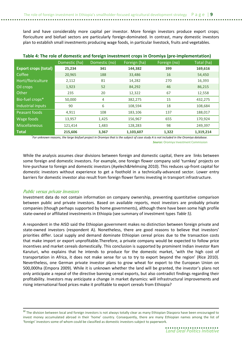land and have considerably more capital per investor. More foreign investors produce export crops; floriculture and biofuel sectors are particularly foreign-dominated. In contrast, many domestic investors plan to establish small investments producing wage foods, in particular livestock, fruits and vegetables.

| Table 4. The fole of domestic and foreign investment crops in Oromiya (pre-implementation) |               |               |              |              |            |  |  |
|--------------------------------------------------------------------------------------------|---------------|---------------|--------------|--------------|------------|--|--|
|                                                                                            | Domestic (ha) | Domestic (no) | Foreign (ha) | Foreign (no) | Total (ha) |  |  |
| <b>Export crops (total)</b>                                                                | 25,234        | 341           | 144,382      | 399          | 169,616    |  |  |
| Coffee                                                                                     | 20,965        | 188           | 33,486       | 16           | 54,450     |  |  |
| Horti/floriculture                                                                         | 2,112         | 81            | 14,282       | 270          | 16,393     |  |  |
| Oil crops                                                                                  | 1,923         | 52            | 84,292       | 46           | 86,215     |  |  |
| Other                                                                                      | 235           | 20            | 12,322       | 67           | 12,558     |  |  |
| Bio-fuel crops*                                                                            | 50,000        | 4             | 382,275      | 15           | 432,275    |  |  |
| Industrial inputs                                                                          | 90            | 6             | 108,594      | 18           | 108,684    |  |  |
| Peasant foods                                                                              | 4,911         | 108           | 183,106      | 137          | 188,017    |  |  |
| Wage foods                                                                                 | 13,957        | 1,425         | 156,967      | 655          | 170,924    |  |  |
| <b>Miscellaneous</b>                                                                       | 121,414       | 1,483         | 128,283      | 98           | 249,397    |  |  |
| <b>Total</b>                                                                               | 215,606       | 3,367         | 1,103,607    | 1,322        | 1,319,214  |  |  |

Table 4: The role of domestic and foreign investment crops in Oromiya (pre-implementation)

\* For unknown reasons, the large biofuel project in Oromiya that is the subject of case study A is not included in the Oromiya database. **Source:** Oromiya Investment Commission

While the analysis assumes clear divisions between foreign and domestic capital, there are links between some foreign and domestic investors. For example, one foreign flower company sold 'turnkey' projects on hire-purchase to foreign and domestic investors (Ayelech&Helmsing 2010). This reduces up-front capital for domestic investors without experience to get a foothold in a technically-advanced sector. Lower entry barriers for domestic investor also result from foreign flower farms investing in transport infrastructure.

#### Public versus private investors

 $\overline{a}$ 

Investment data do not contain information on company ownership, preventing quantitative comparison between public and private investors. Based on available reports, most investors are probably private companies (though perhaps supported by home governments), although there have been some high profile state-owned or affiliated investments in Ethiopia (see summary of investment types Table 5).

A respondent in the AISD said the Ethiopian government makes no distinction between foreign private and state-owned investors (respondent A). Nonetheless, there are good reasons to believe that investors' priorities differ. Local supply and demand dominate Ethiopian cereal prices due to the transaction costs that make import or export unprofitable.Therefore, a private company would be expected to follow price incentives and market cereals domestically. This conclusion is supported by prominent Indian investor Ram Karuturi, who explains that he intends to produce for the domestic market, 'with the high cost of transportation in Africa, it does not make sense for us to try to export beyond the region' (Rice 2010). Nevertheless, one German private investor plans to grow wheat for export to the European Union on 500,000ha (Empora 2009). While it is unknown whether the land will be granted, the investor's plans not only anticipate a repeal of the directive banning cereal exports, but also contradict findings regarding their profitability. Investors may anticipate a change in market dynamics: will infrastructural improvements and rising international food prices make it profitable to export cereals from Ethiopia?

<sup>&</sup>lt;sup>12</sup> The division between local and foreign investors is not always totally clear as many Ethiopian Diaspora have been encouraged to invest money accumulated abroad in their 'home' country. Consequently, there are many Ethiopian names among the list of 'foreign' investors some of whom could be classified as domestic investors subject to paperwork.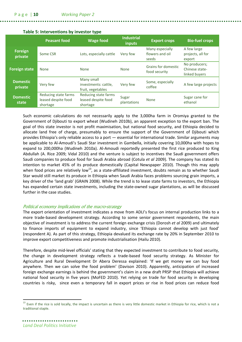|                            | <b>Peasant food</b>                                     | <b>Wage food</b>                                        | <b>Industrial</b><br>inputs | <b>Export crops</b>                         | <b>Bio-fuel crops</b>                            |
|----------------------------|---------------------------------------------------------|---------------------------------------------------------|-----------------------------|---------------------------------------------|--------------------------------------------------|
| <b>Foreign</b><br>private  | Some CSR                                                | Lots, especially cattle                                 | Very few                    | Many especially<br>flowers and oil<br>seeds | A few large<br>projects, all for<br>export       |
| <b>Foreign state</b>       | <b>None</b>                                             | <b>None</b>                                             | <b>None</b>                 | Grains for domestic<br>food security        | No producers;<br>Chinese state-<br>linked buyers |
| <b>Domestic</b><br>private | Very few                                                | Many small<br>investments: cattle,<br>fruit, vegetables | Very few                    | Some, especially<br>coffee                  | A few large projects                             |
| <b>Domestic</b><br>state   | Reducing state farms<br>leased despite food<br>shortage | Reducing state farms<br>leased despite food<br>shortage | Sugar<br>plantations        | <b>None</b>                                 | Sugar cane for<br>ethanol                        |

#### Table 5: Interventions by investor type

Such economic calculations do not necessarily apply to the 3,000ha farm in Oromiya granted to the Government of Djibouti to export wheat (Wudineh 2010b), an apparent exception to the export ban. The goal of this state investor is not profit maximisation, but national food security, and Ethiopia decided to allocate land free of charge, presumably to ensure the support of the Government of Djibouti which provides Ethiopia's only reliable access to a port — essential for international trade. Similar arguments may be applicable to Al-Amoudi's Saudi Star investment in Gambella, initially covering 10,000ha with hopes to expand to 200,000ha (Wudineh 2010a). Al-Amoudi reportedly presented the first rice produced to King Abdullah (A. Rice 2009; Vidal 2010) and the venture is subject to incentives the Saudi government offers Saudi companies to produce food for Saudi Arabia abroad (Cotula et al 2009). The company has stated its intention to market 45% of its produce domestically (Capital Newspaper 2010). Though this may apply when food prices are relatively low<sup>13</sup>, as a state-affiliated investment, doubts remain as to whether Saudi Star would still market its produce in Ethiopia when Saudi Arabia faces problems sourcing grain imports, a key driver of the 'land grab' (GRAIN 2008). While the trend is to lease state farms to investors, the Ethiopia has expanded certain state investments, including the state-owned sugar plantations, as will be discussed further in the case studies.

#### Political economy implications of the macro-strategy

The export orientation of investment indicates a move from ADLI's focus on internal production links to a more trade-based development strategy. According to some senior government respondents, the main objective of investment is to address the current foreign exchange crisis (Dorosh et al 2009) and ultimately to finance imports of equipment to expand industry, since 'Ethiopia cannot develop with just food' (respondent A). As part of this strategy, Ethiopia devalued its exchange rate by 20% in September 2010 to improve export competitiveness and promote industrialisation (Hailu 2010).

Therefore, despite mid-level officials' stating that they expected investment to contribute to food security, the change in development strategy reflects a trade-based food security strategy. As Minister for Agriculture and Rural Development Dr Abera Deressa explained: 'If we get money we can buy food anywhere. Then we can solve the food problem' (Davison 2010). Apparently, anticipation of increased foreign exchange earnings is behind the government's claim in a new draft PRSP that Ethiopia will achieve national food security in five years (MoFED 2010). Yet relying on trade for food security in developing countries is risky, since even a temporary fall in export prices or rise in food prices can reduce food

 $\overline{\phantom{0}}$ 

Even if the rice is sold locally, the impact is uncertain as there is very little domestic market in Ethiopia for rice, which is not a traditional staple.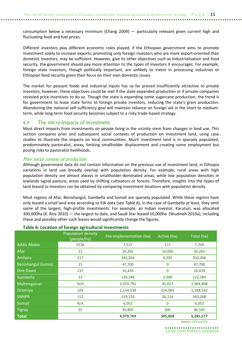consumption below a necessary minimum (Chang 2009) — particularly relevant given current high and fluctuating food and fuel prices.

Different investors play different economic roles played; if the Ethiopian government aims to promote investment solely to increase exports, promoting only foreign investors who are more export-oriented than domestic investors, may be sufficient. However, give its other objectives such as industrialisation and food security, the government should pay more attention to the types of investors it encourages. For example, foreign state investors, though politically important, are unlikely to invest in processing industries or Ethiopian food security given their focus on their own domestic issues.

The market for peasant foods and industrial inputs has so far proved insufficiently attractive to private investors; however, these objectives could be met if the state expanded production or if private companies recevied price incentives to do so. Though the state is expanding some sugarcane production, the trend is for government to lease state farms to foreign private investors, reducing the state's grain production. Abandoning the national self-sufficiency goal will maintain reliance on foreign aid in the short to mediumterm, while long-term food security becomes subject to a risky trade-based strategy.

#### 4.3 The micro-impacts of investment

Most direct impacts from investments on people living in the vicinity stem from changes in land use. This section compares prior and subsequent social contexts of production on investment land, using case studies to illustrate the impacts on local communities. Much investment land is in sparsely populated, predominately pastoralist, areas, limiting smallholder displacement and creating some employment but posing risks to pastoralist livelihoods.

#### Prior social context of production

Although government data do not contain information on the previous use of investment land, in Ethiopia variations in land use broadly overlap with population density. For example, rural areas with high population density are almost always in smallholder-dominated areas, while low population densities in lowlands signal pasture, areas used by shifting cultivators or forests. Therefore, insights into the types of land leased to investors can be obtained by comparing investment locations with population density.

Most regions of Afar, Benishangul, Gambella and Somali are sparsely populated. While these regions have only leased a small land area according to EIA data (see Table 6), in the case of Gambella at least, they omit some of the largest, high-profile investments. For example, an Indian investor, Karuturi, was allocated 300,000ha (X. Rice 2010) — the largest to date, and Saudi Star leased 10,000ha (Wudineh 2010a); including these and possibly other such leases would significantly change the figures.

#### Table 6: Location of foreign agricultural investments

|                          | Population density<br>(people/ha) | Pre-Implementation (ha) | Active (ha)      | Total (ha) |
|--------------------------|-----------------------------------|-------------------------|------------------|------------|
| <b>Addis Ababa</b>       | 5536                              | 7,537                   | 171              | 7,709      |
| Afar                     | 21                                | 26,265                  | 10,000           | 36,265     |
| Amhara                   | 117                               | 342,204                 | 8,202            | 350,406    |
| <b>Benishangul Gumuz</b> | 15                                | 47,700                  | $\boldsymbol{0}$ | 47,700     |
| Dire Dawa                | 237                               | 10,439                  | 0                | 10,439     |
| Gambella                 | 12                                | 120,284                 | 2,000            | 122,284    |
| Multiregional            | N/A                               | 2,919,791               | 45,017           | 2,964,808  |
| Oromiya                  | 105                               | 1,134,539               | 214,003          | 1,348,542  |
| <b>SNNPR</b>             | 152                               | 319,154                 | 26,114           | 345,268    |
| Somali                   | N/A                               | 6,052                   | 0                | 6,052      |
| <b>Tigray</b>            | 55                                | 45,805                  | 300              | 46,105     |
| <b>Total</b>             |                                   | 4,979,769               | 305,808          | 5,285,577  |

Source: CSA and EIA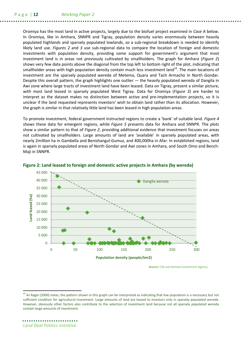Oromiya has the most land in active projects, largely due to the biofuel project examined in Case A below. In Oromiya, like in Amhara, SNNPR and Tigray, population density varies enormously between heavily populated highlands and sparsely populated lowlands, so a sub-regional breakdown is needed to identify likely land use. Figures 2 and 3 use sub-regional data to compare the location of foreign and domestic investments with population density, providing some support for government's argument that most investment land is in areas not previously cultivated by smallholders. The graph for Amhara (*Figure 2*) shows very few data points above the diagonal from the top left to bottom right of the plot, indicating that smallholder areas with high population density contain much less investment land<sup>14</sup>. The main locations of investment are the sparsely populated wereda of Metema, Quara and Tach Armacho in North Gondar. Despite this overall pattern, the graph highlights one outlier — the heavily populated wereda of Dangila in Awi zone where large tracts of investment land have been leased. Data on Tigray, present a similar picture, with most land leased in sparsely populated West Tigray. Data for Oromiya (Figure 3) are harder to interpret as the dataset makes no distinction between active and pre-implementation projects, so it is unclear if the land requested represents investors' wish to obtain land rather than its allocation. However, the graph is similar in that relatively little land has been leased in high population areas.

To promote investment, federal government instructed regions to create a 'bank' of suitable land. Figure 4 shows these data for emergent regions, while Figure 5 presents data for Amhara and SNNPR. The plots show a similar pattern to that of Figure 2, providing additional evidence that investment focuses on areas not cultivated by smallholders. Large amounts of land are 'available' in sparsely populated areas, with nearly 2million ha in Gambella and Benishangul-Gumuz, and 400,000ha in Afar. In established regions, land is again in sparsely populated areas of North Gondar and Awi zones in Amhara, and South Omo and Bench-Maji in SNNPR.



#### Figure 2: Land leased to foreign and domestic active projects in Amhara (by wereda)

Source: CSA and Amhara Investment Agency

l

<sup>&</sup>lt;sup>14</sup> As Ragin (2000) notes, the pattern shown in this graph can be interpreted as indicating that low population is a necessary but not sufficient condition for agricultural investment. Large amounts of land are leased to investors only in sparsely populated wereda. However, obviously other factors also contribute to the selection of investment land because not all sparsely populated wereda contain large amounts of investment.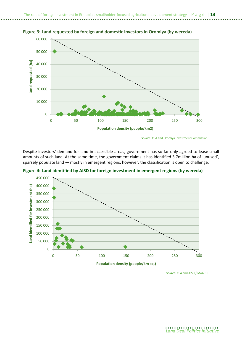

Figure 3: Land requested by foreign and domestic investors in Oromiya (by wereda)

Despite investors' demand for land in accessible areas, government has so far only agreed to lease small amounts of such land. At the same time, the government claims it has identified 3.7million ha of 'unused', sparsely populate land — mostly in emergent regions, however, the classification is open to challenge.



Figure 4: Land identified by AISD for foreign investment in emergent regions (by wereda)

Source: CSA and AISD / MoARD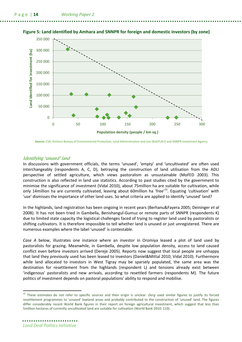

#### Figure 5: Land identified by Amhara and SNNPR for foreign and domestic investors (by zone)

Source: CSA, Amhara Bureau of Environmental Protection, Land Administration and Use (BoEPLAU) and SNNPR Investment Agency

#### Identifying 'unused' land

In discussions with government officials, the terms 'unused', 'empty' and 'uncultivated' are often used interchangeably (respondents A, C, D), betraying the construction of land utilisation from the ADLI perspective of settled agriculture, which views pastoralism as unsustainable (MoFED 2003). This construction is also reflected in land use statistics. According to past studies cited by the government to minimise the significance of investment (Vidal 2010), about 75million ha are suitable for cultivation, while only 14million ha are currently cultivated, leaving about 60million ha 'free'<sup>15</sup>. Equating 'cultivation' with 'use' dismisses the importance of other land uses. So what criteria are applied to identify 'unused' land?

In the highlands, land registration has been ongoing in recent years (Berhanu&Fayera 2005; Deininger et al 2008). It has not been tried in Gambella, Benishangul-Gumuz or remote parts of SNNPR (respondents K) due to limited state capacity the logistical challenges faced of trying to register land used by pastoralists or shifting cultivators. It is therefore impossible to tell whether land is unused or just unregistered. There are numerous examples where the label 'unused' is contestable.

Case A below, illustrates one instance where an investor in Oromiya leased a plot of land used by pastoralists for grazing. Meanwhile, in Gambella, despite low population density, access to land caused conflict even before investors arrived (Dereje 2005). Reports now suggest that local people are unhappy that land they previously used has been leased to investors (Daniel&Mittal 2010; Vidal 2010). Furthermore while land allocated to investors in West Tigray may be sparsely populated, the same area was the destination for resettlement from the highlands (respondent L) and tensions already exist between 'indigenous' pastoralists and new arrivals, according to resettled farmers (respondents M). The future politics of investment depends on pastoral populations' ability to respond and mobilise.

l

<sup>&</sup>lt;sup>15</sup> These estimates do not refer to specific sources and their origin is unclear. Derg used similar figures to justify its forced resettlement programmes to 'unused' lowland areas and probably contributed to the construction of 'unused' land. The figures differ considerably recent World Bank figures in their report on foreign agricultural investment, which suggest that less than 5million hectares of currently uncultivated land are suitable for cultivation (World Bank 2010: 110).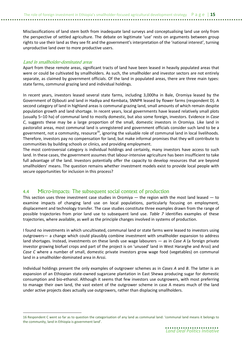Misclassifications of land stem both from inadequate land surveys and conceptualising land use only from the perspective of settled agriculture. The debate on legitimate 'use' rests on arguments between group rights to use their land as they see fit and the government's interpretation of the 'national interest', turning unproductive land over to more productive users.

#### Land in smallholder-dominated areas

 $\overline{\phantom{0}}$ 

Apart from these remote areas, significant tracts of land have been leased in heavily populated areas that were or could be cultivated by smallholders. As such, the smallholder and investor sectors are not entirely separate, as claimed by government officials. Of the land in populated areas, there are three main types: state farms, communal grazing land and individual holdings.

In recent years, investors leased several state farms, including 3,000ha in Bale, Oromiya leased by the Government of Djibouti and land in Hadiya and Kembata, SNNPR leased by flower farms (respondent D). A second category of land in highland areas is communal grazing land, small amounts of which remain despite population growth and land shortage. In recent years, local governments have leased relatively small plots (usually 5–10 ha) of communal land to mostly domestic, but also some foreign, investors. Evidence in Case C, suggests these may be a large proportion of the small, domestic investors in Oromiya. Like land in pastoralist areas, most communal land is unregistered and government officials consider such land to be a government, not a community, resource<sup>16</sup>, ignoring the valuable role of communal land in local livelihoods. Therefore, investors pay no compensation for land, but make informal promises that they will contribute to communities by building schools or clinics, and providing employment.

The most controversial category is individual holdings and certainly, many investors have access to such land. In these cases, the government assumes that labour-intensive agriculture has been insufficient to take full advantage of the land. Investors potentially offer the capacity to develop resources that are beyond smallholders' means. The question remains whether investment models exist to provide local people with secure opportunities for inclusion in this process?

### 4.4 Micro-impacts: The subsequent social context of production

This section uses three investment case studies in Oromiya  $-$  the region with the most land leased  $-$  to examine impacts of changing land use on local populations, particularly focusing on employment, displacement and technology transfer. The case studies constitute three examples drawn from the range of possible trajectories from prior land use to subsequent land use. Table 7 identifies examples of these trajectories, where available, as well as the principle changes involved in systems of production.

I found no investments in which uncultivated, communal land or state farms were leased to investors using outgrowers— a change which could plausibly combine investment with smallholder expansion to address land shortages. Instead, investments on these lands use wage labourers  $-$  as in Case A (a foreign private investor growing biofuel crops and part of the project is on 'unused' land in West Hararghe and Arssi) and Case C where a number of small, domestic private investors grow wage food (vegetables) on communal land in a smallholder-dominated area in Arssi.

Individual holdings present the only examples of outgrower schemes as in Cases A and B. The latter is an expansion of an Ethiopian state-owned sugarcane plantation in East Shewa producing sugar for domestic consumption and bio-ethanol. Although it seems that few investors use outgrowers, with most preferring to manage their own land, the vast extent of the outgrower scheme in case A means much of the land under active projects does actually use outgrowers, rather than displacing smallholders.

<sup>16</sup> Respondent C went so far as to question the categorisation of any land as communal land: 'communal land means it belongs to the community, land in Ethiopia is government land'.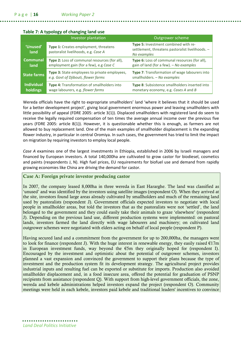### Table 7: A typology of changing land use

|                               | Investor plantation                                                                      | Outgrower scheme                                                                                        |
|-------------------------------|------------------------------------------------------------------------------------------|---------------------------------------------------------------------------------------------------------|
| 'Unused'<br>land              | Type 1: Creates employment, threatens<br>pastoralist livelihoods, e.g. Case A            | Type 5: Investment combined with re-<br>settlement, threatens pastoralist livelihoods. -<br>No examples |
| <b>Communal</b><br>land       | Type 2: Loss of communal resources (for all),<br>employment gain (for a few), e.g Case C | Type 6: Loss of communal resources (for all),<br>gain of land (for a few). - No examples                |
| <b>State farms</b>            | Type 3: State employees to private employees,<br>e.g. Govt of Djibouti, flower farms     | Type 7: Transformation of wage labourers into<br>smallholders. - No examples                            |
| <b>Individual</b><br>holdings | Type 4: Transformation of smallholders into<br>wage labourers, e.g. flower farms         | Type 8: Subsistence smallholders inserted into<br>monetary economy, e.g. Cases A and B                  |

Wereda officials have the right to expropriate smallholders' land 'where it believes that it should be used for a better development project', giving local government enormous power and leaving smallholders with little possibility of appeal (FDRE 2005: article 3(1)). Displaced smallholders with registered land do seem to receive the legally required compensation of ten times the average annual income over the previous five years (FDRE 2005: article 8(1)). However, it is questionable whether this is enough, as farmers are not allowed to buy replacement land. One of the main examples of smallholder displacement is the expanding flower industry, in particular in central Oromiya. In such cases, the government has tried to limit the impact on migration by requiring investors to employ local people.

Case A examines one of the largest investments in Ethiopia, established in 2006 by Israeli managers and financed by European investors. A total 140,000ha are cultivated to grow castor for biodiesel, cosmetics and paints (respondents J, N). High fuel prices, EU requirements for biofuel use and demand from rapidly growing economies like China are driving the demand for castor.

### Case A: Foreign private investor producing castor

In 2007, the company leased 8,000ha in three wereda in East Hararghe. The land was classified as 'unused' and was identified by the investors using satellite images (respondent O). When they arrived at the site, investors found large areas already cultivated by smallholders and much of the remaining land used by pastoralists (respondent J). Government officials expected investors to negotiate with local people in smallholder areas, but told the investors that as the pastoralists were not 'settled', the land belonged to the government and they could easily take their animals to graze 'elsewhere' (respondent J). Depending on the previous land use, different production systems were implemented: on pastoral lands, investors farmed the land directly with wage labourers and machinery; on cultivated land outgrower schemes were negotiated with elders acting on behalf of local people (respondent P).

Having secured land and a commitment from the government for up to 200,000ha, the managers went to look for finance (respondent J). With the huge interest in renewable energy, they easily raised  $E17m$ in European investment funds, way beyond the  $\epsilon$ 5m they originally hoped for (respondent I). Encouraged by the investment and optimistic about the potential of outgrower schemes, investors planned a vast expansion and convinced the government to support their plans because the type of investment and the production system fit its development strategy. The agricultural project provides industrial inputs and resulting fuel can be exported or substitute for imports. Production also avoided smallholder displacement and, in a food insecure area, offered the potential for graduation of PSNP recipients from assistance (respondent Q). With support from high-level government officials, the zone, wereda and kebele administrations helped investors expand the project (respondent O). Community meetings were held in each kebele, investors paid kebele and traditional leaders' incentives to convince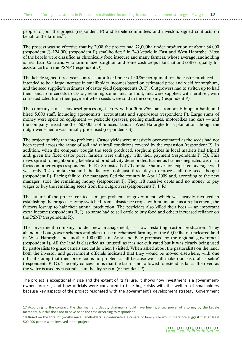people to join the project (respondent P) and kebele committees and investors signed contracts on behalf of the farmers<sup>17</sup>.

The process was so effective that by 2008 the project had 72,000ha under production of about 84,000 (respondent J)–124,000 (respondent P) smallholders<sup>18</sup> in 240 kebele in East and West Hararghe. Most of the kebele were classified as chronically food insecure and many farmers, whose average landholding is less than 0.5ha and who farm maize, sorghum and some cash crops like chat and coffee, qualify for assistance from the PSNP (respondent O).

The kebele signed three year contracts at a fixed price of 50*Birr* per quintal for the castor produced  $\cdot$ intended to be a large increase in smallholder incomes based on estimated price and yield for sorghum, and the seed supplier's estimates of castor yield (respondents O, P). Outgrowers had to switch up to half their land from cereals to castor, retaining some land for food, and were supplied with fertiliser, with costs deducted from their payment when seeds were sold to the company (respondent P).

The company built a biodiesel processing factory with a 30m *Birr* loan from an Ethiopian bank, and hired 5,000 staff, including agronomists, accountants and supervisors (respondent P). Large sums of money were spent on equipment — pesticide sprayers, peeling machines, motorbikes and cars — and the company leased another 60,000ha of 'unused' land in West Hararghe for a plantation, though the outgrower scheme was initially prioritised (respondents S).

The project quickly ran into problems. Castor yields were massively over-estimated as the seeds had not been tested across the range of soil and rainfall conditions covered by the expansion (respondent P). In addition, when the company bought the seeds produced, sorghum prices in local markets had tripled and, given the fixed castor price, farmers were unhappy with their payment (respondents P, R). This news spread to neighbouring kebele and productivity deteriorated further as farmers neglected castor to focus on other crops (respondents P, R). So instead of 70 quintals/ha investors expected, average yield was only 3–4 quintals/ha and the factory took just three days to process all the seeds bought (respondent P). Facing failure, the managers fled the country in April 2009 and, according to the new manager, stole the remaining money (respondent I). They left massive debts and no money to pay wages or buy the remaining seeds from the outgrowers (respondents P, I, R).

The failure of the project created a major problem for government, which was heavily involved in establishing the project. Having switched from subsistence crops, with no income as a replacement, the farmers lost up to half their annual production. The pesticides also killed their bees — an important extra income (respondents R, I), so some had to sell cattle to buy food and others increased reliance on the PSNP (respondents R).

The investment company, under new management, is now restarting castor production. They abandoned outgrower schemes and plan to use mechanised farming on the 60,000ha of uncleared land in West Hararghe and another 100,000ha in Arssi and Bale promised by the regional government (respondent I). All the land is classified as 'unused' as it is not cultivated but it was clearly being used by pastoralists to graze camels and cattle when I visited. When asked about the pastoralists on the land, both the investor and government officials indicated that they would be moved elsewhere, with one official stating that their presence 'is no problem at all because we shall make our pastoralists settle' (respondents P, O). The only concession is that the farm is not allowed to extend as far as the river, as the water is used by pastoralists in the dry season (respondent P).

The project is exceptional in size and the extent of its failure. It shows how investment is a governmentowned process, and how officials were convinced to take huge risks with the welfare of smallholders because key aspects of the project resonated with the government's development strategy. Government

 $\overline{\phantom{0}}$ 

<sup>17</sup> According to the contract, the chairman and deputy chairman should have been granted power of attorney by the kebele members, but this does not to have been the case according to respondent R.

<sup>18</sup> Based on the total of (mostly male) landholders: a conservative estimate of family size would therefore suggest that at least 500,000 people were involved in the project.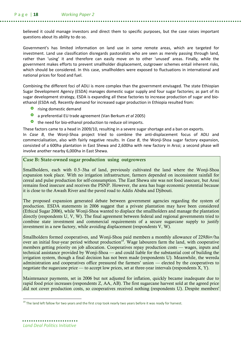believed it could manage investors and direct them to specific purposes, but the case raises important questions about its ability to do so.

Government's has limited information on land use in some remote areas, which are targeted for investment. Land use classification disregards pastoralists who are seen as merely passing through land, rather than 'using' it and therefore can easily move on to other 'unused' areas. Finally, while the government makes efforts to prevent smallholder displacement, outgrower schemes entail inherent risks, which should be considered. In this case, smallholders were exposed to fluctuations in international and national prices for food and fuel.

Combining the different foci of ADLI is more complex than the government envisaged. The state Ethiopian Sugar Development Agency (ESDA) manages domestic sugar supply and four sugar factories; as part of its sugar development strategy, ESDA is expanding all these factories to increase production of sugar and bioethanol (ESDA nd). Recently demand for increased sugar production in Ethiopia resulted from:

- **O** rising domestic demand
- a preferential EU trade agreement (Van Berkum et al 2005)
- the need for bio-ethanol production to reduce oil imports.

These factors came to a head in 2009/10, resulting in a severe sugar shortage and a ban on exports.

In Case B, the Wonji-Shoa project tried to combine the anti-displacement focus of ADLI and commercialisation, also with fairly negative results. In Case B, the Wonji-Shoa sugar factory expansion, consisted of a 600ha plantation in East Shewa and 2,600ha with new factory in Arssi; a second phase will involve another nearby 6,000ha in East Shewa.

Case B: State-owned sugar production using outgrowers

Smallholders, each with 0.5–3ha of land, previously cultivated the land where the Wonji-Shoa expansion took place. With no irrigation infrastructure, farmers depended on inconsistent rainfall for cereal and pulse production for self-consumption. The East Shewa site was not food insecure, but Arssi remains food insecure and receives the PSNP. However, the area has huge economic potential because it is close to the Awash River and the paved road to Addis Ababa and Djibouti.

The proposed expansion generated debate between government agencies regarding the system of production. ESDA statements in 2006 suggest that a private plantation may have been considered (Ethical Sugar 2006), while Wonji-Shoa wanted to displace the smallholders and manage the plantation directly (respondents U, V, W). The final agreement between federal and regional governments tried to combine state investment and commercial requirements of a secure sugarcane supply to justify investment in a new factory, while avoiding displacement (respondents V, W).

Smallholders formed cooperatives, and Wonji-Shoa paid members a monthly allowance of 229Birr/ha over an initial four-year period without production<sup>19</sup>. Wage labourers farm the land, with cooperative members getting priority on job allocation. Cooperatives repay production costs — wages, inputs and technical assistance provided by Wonji-Shoa — and could liable for the substantial cost of building the irrigation system, though a final decision has not been made (respondents U). Meanwhile, the wereda administration and cooperatives office pressured the farmers' union — elected by the cooperatives to negotiate the sugarcane price — to accept low prices, set at three-year intervals (respondents X, Y).

Maintenance payments, set in 2006 but not adjusted for inflation, quickly became inadequate due to rapid food price increases (respondents Z, AA, AB). The first sugarcane harvest sold at the agreed price did not cover production costs, so cooperatives received nothing (respondents U). Despite members'

 $\overline{a}$ 

<sup>&</sup>lt;sup>19</sup> The land left fallow for two years and the first crop took nearly two years before it was ready for harvest.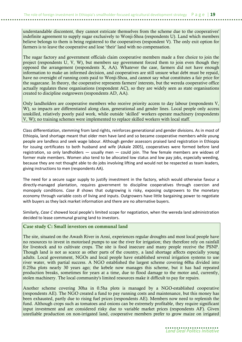understandable discontent, they cannot extricate themselves from the scheme due to the cooperatives' indefinite agreement to supply sugar exclusively to Wonji-Shoa (respondents U). Land which members believe belongs to them is being registered to the cooperatives (respondent V). The only exit option for farmers is to leave the cooperative and lose 'their' land with no compensation.

The sugar factory and government officials claim cooperative members made a free choice to join the project (respondents U, V, W), but members say government forced them to join even though they opposed the arrangement (respondents X, AA). Whatever the case, farmers did not have enough information to make an informed decision, and cooperatives are still unsure what debt must be repaid, have no oversight of running costs paid to Wonji-Shoa, and cannot say what constitutes a fair price for the sugarcane. In theory, the cooperative represents farmers' interests, but the wereda cooperative office actually regulates these organisations (respondent AC), so they are widely seen as state organisations created to discipline outgrowers (respondents AD, AA).

Only landholders are cooperative members who receive priority access to day labour (respondents V, W), so impacts are differentiated along class, generational and gender lines. Local people only access unskilled, relatively poorly paid work, while outside 'skilled' workers operate machinery (respondents V, W); no training schemes were implemented to replace skilled workers with local staff.

Class differentiation, stemming from land rights, reinforces generational and gender divisions. As in most of Ethiopia, land shortage meant that older men have land and so became cooperative members while young people are landless and seek wage labour. Although gender assessors praised land registration in Ethiopia for issuing certificates to both husband and wife (Askale 2005), cooperatives were formed before land registration, so only landholders — usually men — could join. The few female members are widows of former male members. Women also tend to be allocated low status and low pay jobs, especially weeding, because they are not thought able to do jobs involving lifting and would not be respected as team leaders, giving instructions to men (respondents AA).

The need for a secure sugar supply to justify investment in the factory, which would otherwise favour a directly-managed plantation, requires government to discipline cooperatives through coercion and monopoly conditions. Case B shows that outgrowing is risky, exposing outgrowers to the monetary economy through variable costs of living and inputs. Outgrowers have little bargaining power to negotiate with buyers as they lack market information and there are no alternative buyers.

Similarly, Case C showed local people's limited scope for negotiation, when the wereda land administration decided to lease communal grazing land to investors.

#### Case study C: Small investors on communal land

The site, situated on the Awash River in Arssi, experiences regular droughts and most local people have no resources to invest in motorised pumps to use the river for irrigation; they therefore rely on rainfall for livestock and to cultivate crops. The site is food insecure and many people receive the PSNP. Though land is not as scarce as other parts of the country, a land shortage affects especially young adults. Local government, NGOs and local people have established several irrigation systems to use river water, with partial success. A NGO established the largest scheme covering 60ha divided into 0.25ha plots nearly 30 years ago; the kebele now manages this scheme, but it has had repeated production breaks, sometimes for years at a time, due to flood damage to the motor and, currently, stolen machinery. The local community's limited resources make it difficult to pay for repairs.

Another scheme covering 30ha in 0.5ha plots is managed by a NGO-established cooperative (respondents AE). The NGO created a fund to pay running costs and maintenance, but this money has been exhausted, partly due to rising fuel prices (respondents AE). Members now need to replenish the fund. Although crops such as tomatoes and onions can be extremely profitable, they require significant input investment and are considered risky due to variable market prices (respondents AF). Given unreliable production on non-irrigated land, cooperative members prefer to grow maize on irrigated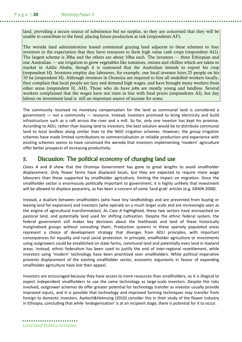land, providing a secure source of subsistence but no surplus, so they are concerned that they will be unable to contribute to the fund, placing future production at risk (respondents AF).

The wereda land administration leased communal grazing land adjacent to these schemes to four investors in the expectation that they have resources to farm high value cash crops (respondent AG). The largest scheme is 30ha and the others are about 10ha each. The investors — three Ethiopian and one Australian — use irrigation to grow vegetables like tomatoes, onions and chillies which are taken to market in Addis Ababa, though it is rumoured that the Australian intends to export his crop (respondent H). Investors employ day labourers, for example, one local investor hires 25 people on his 10 ha (respondent H). Although investors in Oromiya are required to hire all unskilled workers locally, they complain that local people are lazy and demand high wages, and have brought many workers from other areas (respondent H, AH). Those who do have jobs are mostly young and landless. Several workers complained that the wages have not risen in line with food prices (respondents AI), but day labour on investment land is still an important source of income for some.

The community received no monetary compensation for the land as communal land is considered a government  $-$  not a community  $-$  resource. Instead, investors promised to bring electricity and build infrastructure such as a raft across the river and a mill. So far, only one investor has kept his promise. According to ADLI, rather than leasing land to investors, the best solution would be to distribute communal land to local landless along similar lines to the NGO irrigation schemes. However, the group irrigation schemes have made limited contributions to commercialisation or reliable production and experience with existing schemes seems to have convinced the wereda that investors implementing 'modern' agriculture offer better prospects of increasing productivity.

## 5. Discussion: The political economy of changing land use

Cases A and B show that the Oromiya Government has gone to great lengths to avoid smallholder displacement. Only flower farms have displaced locals, but they are expected to require more wage labourers than those supported by smallholder agriculture, limiting the impact on migration. Since the smallholder sector is enormously politically important to government, it is highly unlikely that investment will be allowed to displace peasantry, as has been a concern of some 'land grab' articles (e.g. GRAIN 2008).

Instead, a dualism between smallholders (who have tiny landholdings and are prevented from buying or leasing land for expansion) and investors (who operate on a much larger scale and are increasingly seen as the engine of agricultural transformation). As Case A highlighted, these two sectors have encroached on pastoral land, and potentially land used for shifting cultivation. Despite the ethnic federal system, the federal government still makes key decisions about the livelihoods and land of these historically marginalised groups without consulting them. Production systems in these sparsely populated areas represent a choice of development strategy that diverges from ADLI principles, with important consequences for equality and rural social protection. In principle, smallholder agriculture or investments using outgrowers could be established on state farms, communal land and potentially even land in lowland areas. Instead, ethnic federalism has been used to justify the end of inter-regional resettlement, while investors using 'modern' technology have been prioritised over smallholders. While political imperative prevents displacement of the existing smallholder sector, economic arguments in favour of expanding smallholder agriculture have lost their appeal.

Investors are encouraged because they have access to more resources than smallholders, so it is illogical to expect independent smallholders to use the same technology as large-scale investors. Despite the risks involved, outgrower schemes do offer greater potential for technology transfer as investor usually provide improved inputs, and it is possible that technology and improved farming techniques may transfer from foreign to domestic investors. Ayelech&Helmsing (2010) consider this in their study of the flower industry in Ethiopia, concluding that while 'endogenisation' is at an incipient stage, there is potential for it to occur.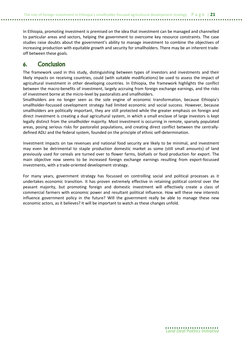In Ethiopia, promoting investment is premised on the idea that investment can be managed and channelled to particular areas and sectors, helping the government to overcome key resource constraints. The case studies raise doubts about the government's ability to manage investment to combine the objectives of increasing production with equitable growth and security for smallholders. There may be an inherent tradeoff between these goals.

### 6. Conclusion

The framework used in this study, distinguishing between types of investors and investments and their likely impacts on receiving countries, could (with suitable modifications) be used to assess the impact of agricultural investment in other developing countries. In Ethiopia, the framework highlights the conflict between the macro-benefits of investment, largely accruing from foreign exchange earnings, and the risks of investment borne at the micro-level by pastoralists and smallholders.

Smallholders are no longer seen as the sole engine of economic transformation, because Ethiopia's smallholder-focussed cevelopment strategy had limited economic and social success. However, because smallholders are politically important, they are still protected while the greater emphasis on foreign and direct investment is creating a dual agricultural system, in which a small enclave of large investors is kept legally distinct from the smallholder majority. Most investment is occurring in remote, sparsely populated areas, posing serious risks for pastoralist populations, and creating direct conflict between the centrallydefined ADLI and the federal system, founded on the principle of ethnic self-determination.

Investment impacts on tax revenues and national food security are likely to be minimal, and investment may even be detrimental to staple production domestic market as some (still small amounts) of land previously used for cereals are turned over to flower farms, biofuels or food production for export. The main objective now seems to be increased foreign exchange earnings resulting from export-focussed investments, with a trade-oriented development strategy.

For many years, government strategy has focussed on controlling social and political processes as it undertakes economic transition. It has proven extremely effective in retaining political control over the peasant majority, but promoting foreign and domestic investment will effectively create a class of commercial farmers with economic power and resultant political influence. How will these new interests influence government policy in the future? Will the government really be able to manage these new economic actors, as it believes? It will be important to watch as these changes unfold.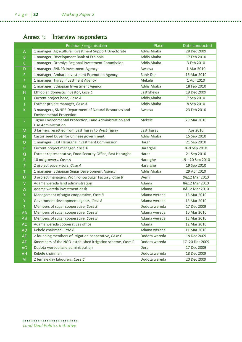# Annex 1: Interview respondents

| <b>Addis Ababa</b><br>1 manager, Agricultural Investment Support Directorate<br>Α<br><b>Addis Ababa</b><br>1 manager, Development Bank of Ethiopia<br>B<br>1 manager, Oromiya Regional Investment Commission<br><b>Addis Ababa</b><br>C<br>1 manager, SNNPR Investment Agency<br>Awassa<br>D<br>1 manager, Amhara Investment Promotion Agency<br><b>Bahir Dar</b><br>E<br><b>Mekele</b><br>1 manager, Tigray Investment Agency<br>F | 28 Dec 2009<br>17 Feb 2010<br>3 Feb 2010<br>1 Mar 2010<br>16 Mar 2010<br>1 Apr 2010<br>18 Feb 2010<br>19 Dec 2009<br>7 Sep 2010 |
|-------------------------------------------------------------------------------------------------------------------------------------------------------------------------------------------------------------------------------------------------------------------------------------------------------------------------------------------------------------------------------------------------------------------------------------|---------------------------------------------------------------------------------------------------------------------------------|
|                                                                                                                                                                                                                                                                                                                                                                                                                                     |                                                                                                                                 |
|                                                                                                                                                                                                                                                                                                                                                                                                                                     |                                                                                                                                 |
|                                                                                                                                                                                                                                                                                                                                                                                                                                     |                                                                                                                                 |
|                                                                                                                                                                                                                                                                                                                                                                                                                                     |                                                                                                                                 |
|                                                                                                                                                                                                                                                                                                                                                                                                                                     |                                                                                                                                 |
|                                                                                                                                                                                                                                                                                                                                                                                                                                     |                                                                                                                                 |
| <b>Addis Ababa</b><br>1 manager, Ethiopian Investment Agency<br>G                                                                                                                                                                                                                                                                                                                                                                   |                                                                                                                                 |
| <b>East Shewa</b><br>Ethiopian domestic investor, Case C<br>H                                                                                                                                                                                                                                                                                                                                                                       |                                                                                                                                 |
| Current project head, Case A<br><b>Addis Ababa</b>                                                                                                                                                                                                                                                                                                                                                                                  |                                                                                                                                 |
| <b>Addis Ababa</b><br>Former project manager, Case A                                                                                                                                                                                                                                                                                                                                                                                | 8 Sep 2010                                                                                                                      |
| 3 managers, SNNPR Department of Natural Resources and<br>K<br>Awassa                                                                                                                                                                                                                                                                                                                                                                | 23 Feb 2010                                                                                                                     |
| <b>Environmental Protection</b>                                                                                                                                                                                                                                                                                                                                                                                                     |                                                                                                                                 |
| Tigray Environmental Protection, Land Administration and<br>Mekele<br>L                                                                                                                                                                                                                                                                                                                                                             | 29 Mar 2010                                                                                                                     |
| <b>Use Administration</b><br>3 farmers resettled from East Tigray to West Tigray                                                                                                                                                                                                                                                                                                                                                    |                                                                                                                                 |
| <b>East Tigray</b><br>M<br><b>Addis Ababa</b>                                                                                                                                                                                                                                                                                                                                                                                       | Apr 2010                                                                                                                        |
| Castor seed buyer for Chinese government<br>N<br>1 manager, East Hararghe Investment Commission<br>Harar                                                                                                                                                                                                                                                                                                                            | 15 Sep 2010<br>21 Sep 2010                                                                                                      |
| O                                                                                                                                                                                                                                                                                                                                                                                                                                   |                                                                                                                                 |
| $\mathsf{P}$<br>Current project manager, Case A<br>Hararghe<br>Former representative, Food Security Office, East Hararghe<br>Harar                                                                                                                                                                                                                                                                                                  | 8-9 Sep 2010                                                                                                                    |
| Q<br>10 outgrowers, Case A                                                                                                                                                                                                                                                                                                                                                                                                          | 21 Sep 2010                                                                                                                     |
| Hararghe<br>$\mathsf{R}$<br>2 project supervisors, Case A<br>Hararghe                                                                                                                                                                                                                                                                                                                                                               | 19-20 Sep 2010<br>19 Sep 2010                                                                                                   |
| S<br><b>Addis Ababa</b><br>1 manager, Ethiopian Sugar Development Agency                                                                                                                                                                                                                                                                                                                                                            | 29 Apr 2010                                                                                                                     |
| T.                                                                                                                                                                                                                                                                                                                                                                                                                                  | 9&12 Mar 2010                                                                                                                   |
| U<br>3 project managers, Wonji-Shoa Sugar Factory, Case B<br>Wenji<br>Adama wereda land administration<br>Adama                                                                                                                                                                                                                                                                                                                     |                                                                                                                                 |
| V<br>Adama wereda investment desk<br>Adama                                                                                                                                                                                                                                                                                                                                                                                          | 8&12 Mar 2010<br>8&12 Mar 2010                                                                                                  |
| W<br>Management of sugar cooperative, Case B<br>Adama wereda                                                                                                                                                                                                                                                                                                                                                                        | 13 Mar 2010                                                                                                                     |
| $\mathsf X$<br>Y<br>Government development agents, Case B<br>Adama wereda                                                                                                                                                                                                                                                                                                                                                           | 13 Mar 2010                                                                                                                     |
| Members of sugar cooperative, Case B<br>Dodota wereda                                                                                                                                                                                                                                                                                                                                                                               | 17 Dec 2009                                                                                                                     |
| Z<br>Members of sugar cooperative, Case B<br>Adama wereda                                                                                                                                                                                                                                                                                                                                                                           | 10 Mar 2010                                                                                                                     |
| AA<br>Adama wereda<br>Members of sugar cooperative, Case B                                                                                                                                                                                                                                                                                                                                                                          | 13 Mar 2010                                                                                                                     |
| AB<br>AC<br>Adama wereda cooperatives office<br>Adama                                                                                                                                                                                                                                                                                                                                                                               | 12 Mar 2010                                                                                                                     |
| Kebele chairman, Case B<br>Adama wereda<br><b>AD</b>                                                                                                                                                                                                                                                                                                                                                                                | 11 Mar 2010                                                                                                                     |
| 2 founding members of irrigation cooperative, Case C<br>Dodota wereda<br><b>AE</b>                                                                                                                                                                                                                                                                                                                                                  | 18 Dec 2009                                                                                                                     |
| 6members of the NGO-established irrigation scheme, Case C<br>Dodota wereda<br><b>AF</b>                                                                                                                                                                                                                                                                                                                                             | 17-20 Dec 2009                                                                                                                  |
| Dodota wereda land administration<br>AG<br>Dera                                                                                                                                                                                                                                                                                                                                                                                     | 17 Dec 2009                                                                                                                     |
| Dodota wereda<br>Kebele chairman<br>AH                                                                                                                                                                                                                                                                                                                                                                                              | 18 Dec 2009                                                                                                                     |
| 2 female day labourers, Case C<br>Dodota wereda<br>AI                                                                                                                                                                                                                                                                                                                                                                               | 20 Dec 2009                                                                                                                     |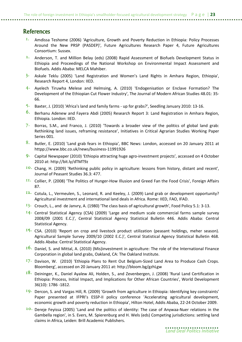## **References**

- I. Amdissa Teshome (2006) 'Agriculture, Growth and Poverty Reduction in Ethiopia: Policy Processes Around the New PRSP (PASDEP)', Future Agricultures Research Paper 4, Future Agricultures Consortium: Sussex.
- 2. Anderson, T. and Million Belay (eds) (2008) Rapid Assessment of Biofuels Development Status in Ethiopia and Proceedings of the National Workshop on Environmental Impact Assessment and Biofuels. Addis Ababa: MELCA Mahiber.
- $3$ . Askale Teklu (2005) 'Land Registration and Women's Land Rights in Amhara Region, Ethiopia', Research Report 4, London: IIED.
- $4$ . Ayelech Tiruwha Melese and Helmsing, A. (2010) 'Endogenisation or Enclave Formation? The Development of the Ethiopian Cut Flower Industry', The Journal of Modern African Studies 48.01: 35- 66.
- 5. Baxter, J. (2010) 'Africa's land and family farms up for grabs?', Seedling January 2010: 13-16.
- 6. Berhanu Adenew and Fayera Abdi (2005) Research Report 3: Land Registration in Amhara Region, Ethiopia. London: IIED.
- 7. Borras, S.M., and Franco, J. (2010) 'Towards a broader view of the politics of global land grab: Rethinking land issues, reframing resistance', Initiatives in Critical Agrarian Studies Working Paper Series 001.
- 8. Butler, E. (2010) 'Land grab fears in Ethiopia', BBC News: London, accessed on 20 January 2011 at httpp://www.bbc.co.uk/news/business-11991926
- 9. Capital Newspaper (2010) 'Ethiopia attracting huge agro-investment projects', accessed on 4 October 2010 at: http://bit.ly/dTMT9z
- 10. Chang, H. (2009) 'Rethinking public policy in agriculture: lessons from history, distant and recent', Journal of Peasant Studies 36.3: 477.
- 11. Collier, P. (2008) 'The Politics of Hunger-How Illusion and Greed Fan the Food Crisis', Foreign Affairs 87.
- 12. Cotula, L., Vermeulen, S., Leonard, R. and Keeley, J. (2009) Land grab or development opportunity? Agricultural investment and international land deals in Africa. Rome: IIED, FAO, IFAD.
- $13.$  Crouch, L., and de Janvry, A. (1980) 'The class basis of agricultural growth', Food Policy 5.1: 3-13.
- $14$ . Central Statistical Agency (CSA) (2009) 'Large and medium scale commercial farms sample survey 2008/09 (2001 E.C.)', Central Statistical Agency Statistical Bulletin 446. Addis Ababa: Central Statistical Agency.
- 15. CSA. (2010) 'Report on crop and livestock product utilization (peasant holdings, meher season). Agricultural Sample Survey 2009/10 (2002 E.C.)', Central Statistical Agency Statistical Bulletin 468. Addis Ababa: Central Statistical Agency.
- 16. Daniel, S. and Mittal, A. (2010) (Mis)investment in agriculture: The role of the International Finance Corporation in global land grabs, Oakland, CA: The Oakland Institute.
- 17. Davison, W. (2010) 'Ethiopia Plans to Rent Out Belgium-Sized Land Area to Produce Cash Crops. Bloomberg', accessed on 20 January 2011 at: http://bloom.bg/gzhLgw
- 18. Deininger, K., Daniel Ayalew Ali, Holden, S., and Zevenbergen, J. (2008) 'Rural Land Certification in Ethiopia: Process, Initial Impact, and Implications for Other African Countries', World Development 36(10): 1786 -1812.
- 19. Dercon, S. and Vargas Hill, R. (2009) 'Growth from agriculture in Ethiopia: Identifying key constraints' Paper presented at IFPRI's ESSP-II policy conference 'Accelerating agricultural development, economic growth and poverty reduction in Ethiopia', Hilton Hotel, Addis Ababa, 22-24 October 2009.
- 20. Dereje Feyissa (2005) 'Land and the politics of identity: The case of Anywaa-Nuer relations in the Gambella region', in S. Evers, M. Spierenburg and H. Wels (eds) Competing jurisdictions: settling land claims in Africa, Leiden: Brill Academic Publishers.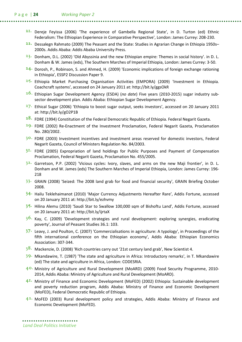- 21. Dereje Feyissa (2006) 'The experience of Gambella Regional State', in D. Turton (ed) Ethnic Federalism: The Ethiopian Experience in Comparative Perspective', London: James Currey: 208-230.
- $22.$  Dessalegn Rahmato (2009) The Peasant and the State: Studies in Agrarian Change in Ethiopia 1950s– 2000s. Addis Ababa: Addis Ababa University Press.
- $23.$  Donham, D.L. (2002) 'Old Abyssinia and the new Ethiopian empire: Themes in social history'. in D. L. Donham & W. James (eds), The Southern Marches of Imperial Ethiopia, London: James Currey: 3-50.
- $24$ . Dorosh, P., Robinson, S. and Ahmed, H. (2009) 'Economic implications of foreign exchange rationing in Ethiopia', ESSP2 Discussion Paper 9.
- $25$ . Ethiopia Market Purchasing Organisation Activities (EMPORA) (2009) 'Investment in Ethiopia. Coachcraft systems', accessed on 24 January 2011 at: http://bit.ly/ggsOkR
- 26. Ethiopian Sugar Development Agency (ESDA) (no date) Five years (2010-2015) sugar industry subsector development plan. Addis Ababa: Ethiopian Sugar Development Agency.
- $27.$  Ethical Sugar (2006) 'Ethiopia to boost sugar output, seeks investors', accessed on 20 January 2011 at: http://bit.ly/gO2P1B
- 28. FDRE (1994) Constitution of the Federal Democratic Republic of Ethiopia. Federal Negarit Gazeta.
- $29.$  FDRE (2002) Re-Enactment of the Investment Proclamation, Federal Negarit Gazeta, Proclamation No. 280/2002.
- 3<sup>0</sup>. FDRE (2003) Investment incentives and investment areas reserved for domestic investors, Federal Negarit Gazeta, Council of Ministers Regulation No. 84/2003.
- $3<sup>1</sup>$ . FDRE (2005) Expropriation of land holdings for Public Purposes and Payment of Compensation Proclamation, Federal Negarit Gazeta, Proclamation No. 455/2005.
- $3<sup>2</sup>$  Garretson, P.P. (2002) 'Vicious cycles: Ivory, slaves, and arms on the new Maji frontier', in D. L. Donham and W. James (eds) The Southern Marches of Imperial Ethiopia, London: James Currey: 196- 218
- $33$ . GRAIN (2008) 'Seized: The 2008 land grab for food and financial security', GRAIN Briefing October 2008.
- $34$  Hailu Teklehaimanot (2010) 'Major Currency Adjustments Hereafter Rare', Addis Fortune, accessed on 20 January 2011 at: http://bit.ly/ezhvmy
- $35$ . Hilina Alemu (2010) 'Saudi Star to Swallow 100,000 sqm of Bishoftu Land', Addis Fortune, accessed on 20 January 2011 at: http://bit.ly/ijrtaX
- 3<sup>6</sup>. Kay, C. (2009) 'Development strategies and rural development: exploring synergies, eradicating poverty', Journal of Peasant Studies 36.1: 103.
- $37<sup>°</sup>$  Leavy, J. and Poulton, C. (2007) 'Commercialisations in agriculture: A typology', in Proceedings of the fifth international conference on the Ethiopian economy', Addis Ababa: Ethiopian Economics Association: 307-344.
- $3<sup>8</sup>$ . Mackenzie, D. (2008) 'Rich countries carry out '21st century land grab', New Scientist 4.
- $39<sup>°</sup>$  Mkandawire, T. (1987) 'The state and agriculture in Africa: Introductory remarks', in T. Mkandawire (ed) The state and agriculture in Africa, London: CODESRIA.
- 40. Ministry of Agriculture and Rural Development (MoARD) (2009) Food Security Programme, 2010- 2014, Addis Ababa: Ministry of Agriculture and Rural Development (MoARD).
- 4<sup>I</sup>. Ministry of Finance and Economic Development (MoFED) (2002) Ethiopia: Sustainable development and poverty reduction program, Addis Ababa: Ministry of Finance and Economic Development (MoFED), Federal Democratic Republic of Ethiopia.
- $4<sup>2</sup>$ . MoFED (2003) Rural development policy and strategies, Addis Ababa: Ministry of Finance and Economic Development (MoFED).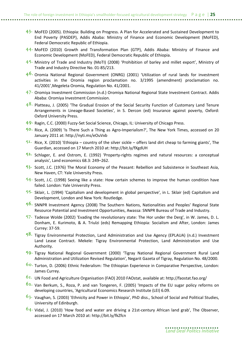- $43<sup>°</sup>$  MoFED (2005). Ethiopia: Building on Progress. A Plan for Accelerated and Sustained Development to End Poverty (PASDEP), Addis Ababa: Ministry of Finance and Economic Development (MoFED), Federal Democratic Republic of Ethiopia.
- $44$  MoFED (2010) Growth and Transformation Plan (GTP), Addis Ababa: Ministry of Finance and Economic Development (MoFED), Federal Democratic Republic of Ethiopia.
- 45. Ministry of Trade and Industry (MoTI) (2008) 'Prohibition of barley and millet export', Ministry of Trade and Industry Directive No. 01-85/213.
- $4<sup>6</sup>$  Oromia National Regional Government (ONRG) (2001) 'Utilization of rural lands for investment activities in the Oromia region proclamation no. 3/1995 (amendment) proclamation no. 41/2001',Megeleta Oromia, Regulation No. 41/2001.
- 47. Oromiya Investment Commission (n.d.) Oromiya National Regional State Investment Contract. Addis Ababa: Oromiya Investment Commission.
- $4<sup>8</sup>$ . Platteau, J. (2005) 'The Gradual Erosion of the Social Security Function of Customary Land Tenure Arrangements in Lineage-Based Societies', in S. Dercon (ed) Insurance against poverty, Oxford: Oxford University Press.
- 49. Ragin, C.C. (2000) Fuzzy-Set Social Science, Chicago, IL: University of Chicago Press.
- $50.$  Rice, A. (2009) 'Is There Such a Thing as Agro-Imperialism?', The New York Times, accessed on 20 January 2011 at: http://nyti.ms/eOuVxb
- $5<sup>I</sup>$ . Rice, X. (2010) 'Ethiopia country of the silver sickle offers land dirt cheap to farming giants', The Guardian, accessed on 17 March 2010 at: http://bit.ly/fXgdUH
- $5<sup>2</sup>$  Schlager, E. and Ostrom, E. (1992) 'Property-rights regimes and natural resources: a conceptual analysis', Land economics 68.3: 249–262.
- $53.$  Scott, J.C. (1976) The Moral Economy of the Peasant: Rebellion and Subsistence in Southeast Asia, New Haven, CT: Yale University Press.
- $54$ . Scott, J.C. (1998) Seeing like a state: How certain schemes to improve the human condition have failed. London: Yale University Press.
- $55$ . Sklair, L. (1994) 'Capitalism and development in global perspective', in L. Sklair (ed) Capitalism and Development, London and New York: Routledge.
- 56. SNNPR Investment Agency (2008) The Southern Nations, Nationalities and Peoples' Regional State Resource Potential and Investment Opportunities, Awassa: SNNPR Bureau of Trade and Industry.
- $57$ . Tadesse Wolde (2002) 'Evading the revolutionary state: The Hor under the Derg', in W. James, D. L. Donham, E. Kurimoto, & A. Triulzi (eds) Remapping Ethiopia: Socialism and After, London: James Currey: 37-59.
- $5<sup>8</sup>$ . Tigray Environmental Protection, Land Administration and Use Agency (EPLAUA) (n.d.) Investment Land Lease Contract. Mekele: Tigray Environmental Protection, Land Administration and Use Authority.
- $59$  Tigray National Regional Government (2000) 'Tigray National Regional Government Rural Land Administration and Utilization Revised Regulation', Negarit Gazeta of Tigray, Regulation No. 48/2000.
- 60. Turton, D. (2006) Ethnic Federalism: The Ethiopian Experience in Comparative Perspective, London: James Currey.
- 61. UN Food and Agriculture Organisation (FAO) 2010 FAOstat, available at: http://faostat.fao.org/
- 62. Van Berkum, S., Roza, P. and van Tongeren, F. (2005) 'Impacts of the EU sugar policy reforms on developing countries, 'Agricultural Economics Research Institute (LEI) 6.09.
- $63.$  Vaughan, S. (2003) 'Ethnicity and Power in Ethiopia', PhD diss., School of Social and Political Studies, University of Edinburgh.
- 64. Vidal, J. (2010) 'How food and water are driving a 21st-century African land grab', The Observer, accessed on 17 March 2010 at: http://bit.ly/fkZfcn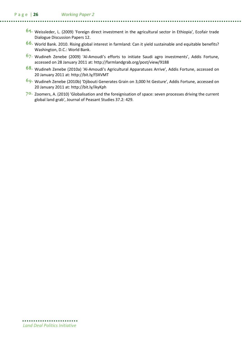#### P a g e | 26 Working Paper 2

- 65. Weissleder, L. (2009) 'Foreign direct investment in the agricultural sector in Ethiopia', Ecofair trade Dialogue Discussion Papers 12.
- 66. World Bank. 2010. Rising global interest in farmland: Can it yield sustainable and equitable benefits? Washington, D.C.: World Bank.
- 67. Wudineh Zenebe (2009) 'Al-Amoudi's efforts to initiate Saudi agro investments', Addis Fortune, accessed on 28 January 2011 at: http://farmlandgrab.org/post/view/9188
- 68. Wudineh Zenebe (2010a) 'Al-Amoudi's Agricultural Apparatuses Arrive', Addis Fortune, accessed on 20 January 2011 at: http://bit.ly/f3XVMT
- 69. Wudineh Zenebe (2010b) 'Djibouti Generates Grain on 3,000 ht Gesture', Addis Fortune, accessed on 20 January 2011 at: http://bit.ly/ikyKph
- $70.$  Zoomers, A. (2010) 'Globalisation and the foreignisation of space: seven processes driving the current global land grab', Journal of Peasant Studies 37.2: 429.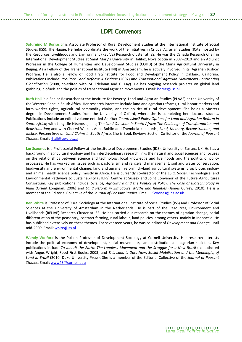## LDPI Convenors

Saturnino M Borras Jr is Associate Professor of Rural Development Studies at the International Institute of Social Studies (ISS), The Hague. He helps coordinate the work of the Initiatives in Critical Agrarian Studies (ICAS) hosted by the Resources, Livelihoods and Environment (RELIVE) Research Cluster at ISS. He was the Canada Research Chair in International Development Studies at Saint Mary's University in Halifax, Nova Scotia in 2007–2010 and an Adjunct Professor in the College of Humanities and Development Studies (COHD) of the China Agricultural University in Beijing. As a Fellow of the Transnational Institute (TNI) in Amsterdam, he is actively involved in its 'Agrarian Justice' Program. He is also a Fellow of Food First/Institute for Food and Development Policy in Oakland, California. Publications include: Pro-Poor Land Reform: A Critique (2007) and Transnational Agrarian Movements Confronting Globalization (2008, co-edited with M. Edelman and C. Kay). He has ongoing research projects on global land grabbing, biofuels and the politics of transnational agrarian movements. Email: borras@iss.nl

Ruth Hall is a Senior Researcher at the Institute for Poverty, Land and Agrarian Studies (PLAAS) at the University of the Western Cape in South Africa. Her research interests include land and agrarian reforms, rural labour markets and farm worker rights, agricultural commodity chains, and the politics of rural development. She holds a Masters degree in Development Studies from the University of Oxford, where she is completing her doctoral studies. Publications include an edited volume entitled Another Countryside? Policy Options for Land and Agrarian Reform in South Africa; with Lungisile Ntsebeza, eds.; The Land Question in South Africa: The Challenge of Transformation and Redistribution; and with Cherryl Walker, Anna Bohlin and Thembela Kepe, eds., Land, Memory, Reconstruction, and Justice: Perspectives on Land Claims in South Africa. She is Book Reviews Section Co-Editor of the Journal of Peasant Studies. Email: rhall@uwc.ac.za

Ian Scoones is a Professorial Fellow at the Institute of Development Studies (IDS), University of Sussex, UK. He has a background in agricultural ecology and his interdisciplinary research links the natural and social sciences and focuses on the relationships between science and technology, local knowledge and livelihoods and the politics of policy processes. He has worked on issues such as pastoralism and rangeland management, soil and water conservation, biodiversity and environmental change, land and agrarian reform, dryland agricultural systems, crop biotechnology and animal health science policy, mostly in Africa. He is currently co-director of the ESRC Social, Technological and Environmental Pathways to Sustainability (STEPS) Centre at Sussex and Joint Convenor of the Future Agricultures Consortium. Key publications include: Science, Agriculture and the Politics of Policy: The Case of Biotechnology in India (Orient Longman, 2006) and Land Reform in Zimbabwe: Myths and Realities (James Currey, 2010). He is a member of the Editorial Collective of the Journal of Peasant Studies. Email: *I.Scoones@ids.ac.uk* 

Ben White is Professor of Rural Sociology at the International Institute of Social Studies (ISS) and Professor of Social Sciences at the University of Amsterdam in the Netherlands. He is part of the Resources, Environment and Livelihoods (RELIVE) Research Cluster at ISS. He has carried out research on the themes of agrarian change, social differentiation of the peasantry, contract farming, rural labour, land policies, among others, mainly in Indonesia. He has published extensively on these themes. For seventeen years, he was co-editor of Development and Change, until mid-2009. Email: white@iss.nl

Wendy Wolford is the Polson Professor of Development Sociology at Cornell University. Her research interests include the political economy of development, social movements, land distribution and agrarian societies. Key publications include To Inherit the Earth: The Landless Movement and the Struggle for a New Brazil (co-authored with Angus Wright, Food First Books, 2003) and This Land is Ours Now: Social Mobilization and the Meaning(s) of Land in Brazil (2010, Duke University Press). She is a member of the Editorial Collective of the Journal of Peasant Studies. Email: www43@cornell.edu